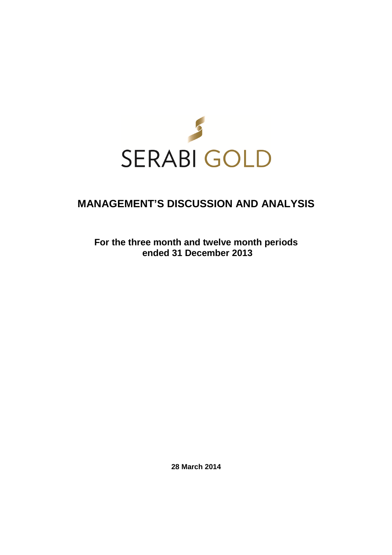

# **MANAGEMENT'S DISCUSSION AND ANALYSIS**

**For the three month and twelve month periods ended 31 December 2013** 

**28 March 2014**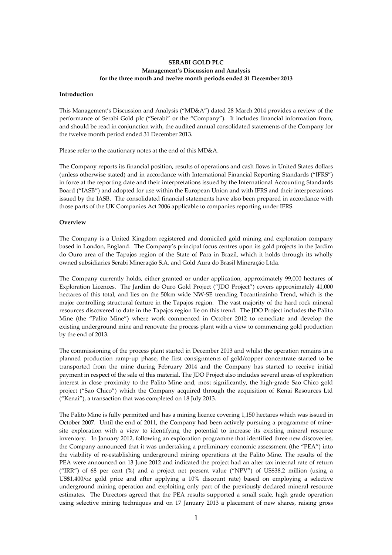# **SERABI GOLD PLC Management's Discussion and Analysis for the three month and twelve month periods ended 31 December 2013**

#### **Introduction**

This Management's Discussion and Analysis ("MD&A") dated 28 March 2014 provides a review of the performance of Serabi Gold plc ("Serabi" or the "Company"). It includes financial information from, and should be read in conjunction with, the audited annual consolidated statements of the Company for the twelve month period ended 31 December 2013.

Please refer to the cautionary notes at the end of this MD&A.

The Company reports its financial position, results of operations and cash flows in United States dollars (unless otherwise stated) and in accordance with International Financial Reporting Standards ("IFRS") in force at the reporting date and their interpretations issued by the International Accounting Standards Board ("IASB") and adopted for use within the European Union and with IFRS and their interpretations issued by the IASB. The consolidated financial statements have also been prepared in accordance with those parts of the UK Companies Act 2006 applicable to companies reporting under IFRS.

#### **Overview**

The Company is a United Kingdom registered and domiciled gold mining and exploration company based in London, England. The Company's principal focus centres upon its gold projects in the Jardim do Ouro area of the Tapajos region of the State of Para in Brazil, which it holds through its wholly owned subsidiaries Serabi Mineraçăo S.A. and Gold Aura do Brasil Mineraçăo Ltda.

The Company currently holds, either granted or under application, approximately 99,000 hectares of Exploration Licences. The Jardim do Ouro Gold Project ("JDO Project") covers approximately 41,000 hectares of this total, and lies on the 50km wide NW-SE trending Tocantinzinho Trend, which is the major controlling structural feature in the Tapajos region. The vast majority of the hard rock mineral resources discovered to date in the Tapajos region lie on this trend. The JDO Project includes the Palito Mine (the "Palito Mine") where work commenced in October 2012 to remediate and develop the existing underground mine and renovate the process plant with a view to commencing gold production by the end of 2013.

The commissioning of the process plant started in December 2013 and whilst the operation remains in a planned production ramp-up phase, the first consignments of gold/copper concentrate started to be transported from the mine during February 2014 and the Company has started to receive initial payment in respect of the sale of this material. The JDO Project also includes several areas of exploration interest in close proximity to the Palito Mine and, most significantly, the high-grade Sao Chico gold project ("Sao Chico") which the Company acquired through the acquisition of Kenai Resources Ltd ("Kenai"), a transaction that was completed on 18 July 2013.

The Palito Mine is fully permitted and has a mining licence covering 1,150 hectares which was issued in October 2007. Until the end of 2011, the Company had been actively pursuing a programme of minesite exploration with a view to identifying the potential to increase its existing mineral resource inventory. In January 2012, following an exploration programme that identified three new discoveries, the Company announced that it was undertaking a preliminary economic assessment (the "PEA") into the viability of re-establishing underground mining operations at the Palito Mine. The results of the PEA were announced on 13 June 2012 and indicated the project had an after tax internal rate of return ("IRR") of 68 per cent (%) and a project net present value ("NPV") of US\$38.2 million (using a US\$1,400/oz gold price and after applying a 10% discount rate) based on employing a selective underground mining operation and exploiting only part of the previously declared mineral resource estimates. The Directors agreed that the PEA results supported a small scale, high grade operation using selective mining techniques and on 17 January 2013 a placement of new shares, raising gross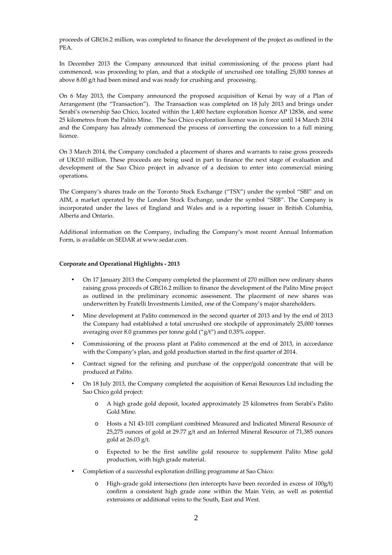proceeds of GB£16.2 million, was completed to finance the development of the project as outlined in the PEA.

In December 2013 the Company announced that initial commissioning of the process plant had commenced, was proceeding to plan, and that a stockpile of uncrushed ore totalling 25,000 tonnes at above 8.00 g/t had been mined and was ready for crushing and processing.

On 6 May 2013, the Company announced the proposed acquisition of Kenai by way of a Plan of Arrangement (the "Transaction"). The Transaction was completed on 18 July 2013 and brings under Serabi's ownership Sao Chico, located within the 1,400 hectare exploration licence AP 12836, and some 25 kilometres from the Palito Mine. The Sao Chico exploration licence was in force until 14 March 2014 and the Company has already commenced the process of converting the concession to a full mining licence.

On 3 March 2014, the Company concluded a placement of shares and warrants to raise gross proceeds of UK£10 million. These proceeds are being used in part to finance the next stage of evaluation and development of the Sao Chico project in advance of a decision to enter into commercial mining operations.

The Company's shares trade on the Toronto Stock Exchange ("TSX") under the symbol "SBI" and on AIM, a market operated by the London Stock Exchange, under the symbol "SRB". The Company is incorporated under the laws of England and Wales and is a reporting issuer in British Columbia, Alberta and Ontario.

Additional information on the Company, including the Company's most recent Annual Information Form, is available on SEDAR at www.sedar.com.

#### **Corporate and Operational Highlights - 2013**

- On 17 January 2013 the Company completed the placement of 270 million new ordinary shares raising gross proceeds of GB£16.2 million to finance the development of the Palito Mine project as outlined in the preliminary economic assessment. The placement of new shares was underwritten by Fratelli Investments Limited, one of the Company's major shareholders.
- Mine development at Palito commenced in the second quarter of 2013 and by the end of 2013 the Company had established a total uncrushed ore stockpile of approximately 25,000 tonnes averaging over 8.0 grammes per tonne gold ("g/t") and 0.35% copper.
- Commissioning of the process plant at Palito commenced at the end of 2013, in accordance with the Company's plan, and gold production started in the first quarter of 2014.
- Contract signed for the refining and purchase of the copper/gold concentrate that will be produced at Palito.
- On 18 July 2013, the Company completed the acquisition of Kenai Resources Ltd including the Sao Chico gold project:
	- o A high grade gold deposit, located approximately 25 kilometres from Serabi's Palito Gold Mine.
	- o Hosts a NI 43-101 compliant combined Measured and Indicated Mineral Resource of 25,275 ounces of gold at 29.77 g/t and an Inferred Mineral Resource of 71,385 ounces gold at 26.03 g/t.
	- o Expected to be the first satellite gold resource to supplement Palito Mine gold production, with high grade material.
- Completion of a successful exploration drilling programme at Sao Chico:
	- High–grade gold intersections (ten intercepts have been recorded in excess of 100g/t) confirm a consistent high grade zone within the Main Vein, as well as potential extensions or additional veins to the South, East and West.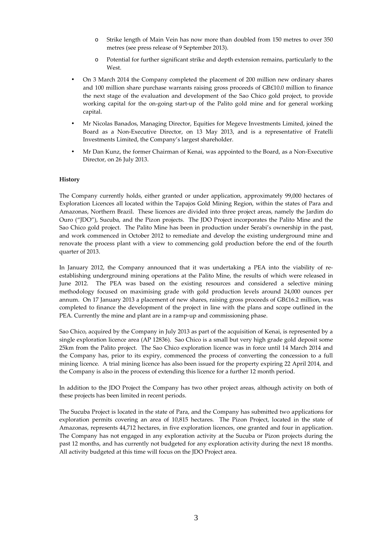- o Strike length of Main Vein has now more than doubled from 150 metres to over 350 metres (see press release of 9 September 2013).
- o Potential for further significant strike and depth extension remains, particularly to the West.
- On 3 March 2014 the Company completed the placement of 200 million new ordinary shares and 100 million share purchase warrants raising gross proceeds of GB£10.0 million to finance the next stage of the evaluation and development of the Sao Chico gold project, to provide working capital for the on-going start-up of the Palito gold mine and for general working capital.
- Mr Nicolas Banados, Managing Director, Equities for Megeve Investments Limited, joined the Board as a Non-Executive Director, on 13 May 2013, and is a representative of Fratelli Investments Limited, the Company's largest shareholder.
- Mr Dan Kunz, the former Chairman of Kenai, was appointed to the Board, as a Non-Executive Director, on 26 July 2013.

## **History**

The Company currently holds, either granted or under application, approximately 99,000 hectares of Exploration Licences all located within the Tapajos Gold Mining Region, within the states of Para and Amazonas, Northern Brazil. These licences are divided into three project areas, namely the Jardim do Ouro ("JDO"), Sucuba, and the Pizon projects. The JDO Project incorporates the Palito Mine and the Sao Chico gold project. The Palito Mine has been in production under Serabi's ownership in the past, and work commenced in October 2012 to remediate and develop the existing underground mine and renovate the process plant with a view to commencing gold production before the end of the fourth quarter of 2013.

In January 2012, the Company announced that it was undertaking a PEA into the viability of reestablishing underground mining operations at the Palito Mine, the results of which were released in June 2012. The PEA was based on the existing resources and considered a selective mining methodology focused on maximising grade with gold production levels around 24,000 ounces per annum. On 17 January 2013 a placement of new shares, raising gross proceeds of GB£16.2 million, was completed to finance the development of the project in line with the plans and scope outlined in the PEA. Currently the mine and plant are in a ramp-up and commissioning phase.

Sao Chico, acquired by the Company in July 2013 as part of the acquisition of Kenai, is represented by a single exploration licence area (AP 12836). Sao Chico is a small but very high grade gold deposit some 25km from the Palito project. The Sao Chico exploration licence was in force until 14 March 2014 and the Company has, prior to its expiry, commenced the process of converting the concession to a full mining licence. A trial mining licence has also been issued for the property expiring 22 April 2014, and the Company is also in the process of extending this licence for a further 12 month period.

In addition to the JDO Project the Company has two other project areas, although activity on both of these projects has been limited in recent periods.

The Sucuba Project is located in the state of Para, and the Company has submitted two applications for exploration permits covering an area of 10,815 hectares. The Pizon Project, located in the state of Amazonas, represents 44,712 hectares, in five exploration licences, one granted and four in application. The Company has not engaged in any exploration activity at the Sucuba or Pizon projects during the past 12 months, and has currently not budgeted for any exploration activity during the next 18 months. All activity budgeted at this time will focus on the JDO Project area.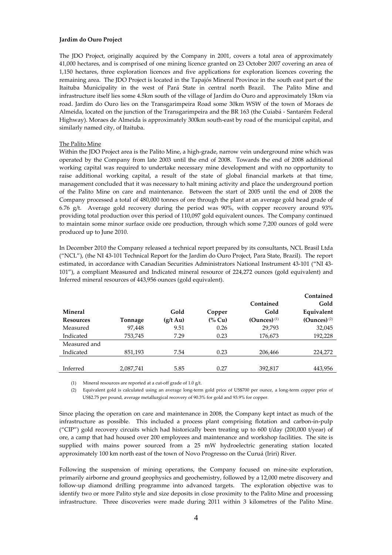#### **Jardim do Ouro Project**

The JDO Project, originally acquired by the Company in 2001, covers a total area of approximately 41,000 hectares, and is comprised of one mining licence granted on 23 October 2007 covering an area of 1,150 hectares, three exploration licences and five applications for exploration licences covering the remaining area. The JDO Project is located in the Tapajós Mineral Province in the south east part of the Itaituba Municipality in the west of Pará State in central north Brazil. The Palito Mine and infrastructure itself lies some 4.5km south of the village of Jardim do Ouro and approximately 15km via road. Jardim do Ouro lies on the Transgarimpeira Road some 30km WSW of the town of Moraes de Almeida, located on the junction of the Transgarimpeira and the BR 163 (the Cuiabá - Santarém Federal Highway). Moraes de Almeida is approximately 300km south-east by road of the municipal capital, and similarly named city, of Itaituba.

## The Palito Mine

Within the JDO Project area is the Palito Mine, a high-grade, narrow vein underground mine which was operated by the Company from late 2003 until the end of 2008. Towards the end of 2008 additional working capital was required to undertake necessary mine development and with no opportunity to raise additional working capital, a result of the state of global financial markets at that time, management concluded that it was necessary to halt mining activity and place the underground portion of the Palito Mine on care and maintenance. Between the start of 2005 until the end of 2008 the Company processed a total of 480,000 tonnes of ore through the plant at an average gold head grade of 6.76 g/t. Average gold recovery during the period was 90%, with copper recovery around 93% providing total production over this period of 110,097 gold equivalent ounces. The Company continued to maintain some minor surface oxide ore production, through which some 7,200 ounces of gold were produced up to June 2010.

In December 2010 the Company released a technical report prepared by its consultants, NCL Brasil Ltda ("NCL"), (the NI 43-101 Technical Report for the Jardim do Ouro Project, Para State, Brazil). The report estimated, in accordance with Canadian Securities Administrators National Instrument 43-101 ("NI 43- 101"), a compliant Measured and Indicated mineral resource of 224,272 ounces (gold equivalent) and Inferred mineral resources of 443,956 ounces (gold equivalent).

|                  |           |                    |           |                           | Contained        |
|------------------|-----------|--------------------|-----------|---------------------------|------------------|
|                  |           |                    |           | Contained                 | Gold             |
| <b>Mineral</b>   |           | Gold               | Copper    | Gold                      | Equivalent       |
| <b>Resources</b> | Tonnage   | $(g/t \text{ Au})$ | $(\%$ Cu) | $(Qunces)$ <sup>(1)</sup> | $(Qunces)^{(2)}$ |
| Measured         | 97,448    | 9.51               | 0.26      | 29.793                    | 32,045           |
| Indicated        | 753,745   | 7.29               | 0.23      | 176,673                   | 192,228          |
| Measured and     |           |                    |           |                           |                  |
| Indicated        | 851,193   | 7.54               | 0.23      | 206,466                   | 224,272          |
|                  |           |                    |           |                           |                  |
| Inferred         | 2,087,741 | 5.85               | 0.27      | 392,817                   | 443,956          |

(1) Mineral resources are reported at a cut-off grade of 1.0 g/t.

(2) Equivalent gold is calculated using an average long-term gold price of US\$700 per ounce, a long-term copper price of US\$2.75 per pound, average metallurgical recovery of 90.3% for gold and 93.9% for copper.

Since placing the operation on care and maintenance in 2008, the Company kept intact as much of the infrastructure as possible. This included a process plant comprising flotation and carbon-in-pulp ("CIP") gold recovery circuits which had historically been treating up to 600 t/day (200,000 t/year) of ore, a camp that had housed over 200 employees and maintenance and workshop facilities. The site is supplied with mains power sourced from a 25 mW hydroelectric generating station located approximately 100 km north east of the town of Novo Progresso on the Curuá (Iriri) River.

Following the suspension of mining operations, the Company focused on mine-site exploration, primarily airborne and ground geophysics and geochemistry, followed by a 12,000 metre discovery and follow-up diamond drilling programme into advanced targets. The exploration objective was to identify two or more Palito style and size deposits in close proximity to the Palito Mine and processing infrastructure. Three discoveries were made during 2011 within 3 kilometres of the Palito Mine.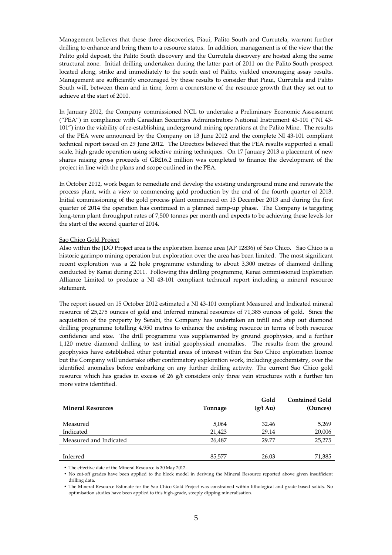Management believes that these three discoveries, Piaui, Palito South and Currutela, warrant further drilling to enhance and bring them to a resource status. In addition, management is of the view that the Palito gold deposit, the Palito South discovery and the Currutela discovery are hosted along the same structural zone. Initial drilling undertaken during the latter part of 2011 on the Palito South prospect located along, strike and immediately to the south east of Palito, yielded encouraging assay results. Management are sufficiently encouraged by these results to consider that Piaui, Currutela and Palito South will, between them and in time, form a cornerstone of the resource growth that they set out to achieve at the start of 2010.

In January 2012, the Company commissioned NCL to undertake a Preliminary Economic Assessment ("PEA") in compliance with Canadian Securities Administrators National Instrument 43-101 ("NI 43- 101") into the viability of re-establishing underground mining operations at the Palito Mine. The results of the PEA were announced by the Company on 13 June 2012 and the complete NI 43-101 compliant technical report issued on 29 June 2012. The Directors believed that the PEA results supported a small scale, high grade operation using selective mining techniques. On 17 January 2013 a placement of new shares raising gross proceeds of GB£16.2 million was completed to finance the development of the project in line with the plans and scope outlined in the PEA.

In October 2012, work began to remediate and develop the existing underground mine and renovate the process plant, with a view to commencing gold production by the end of the fourth quarter of 2013. Initial commissioning of the gold process plant commenced on 13 December 2013 and during the first quarter of 2014 the operation has continued in a planned ramp-up phase. The Company is targeting long-term plant throughput rates of 7,500 tonnes per month and expects to be achieving these levels for the start of the second quarter of 2014.

#### Sao Chico Gold Project

Also within the JDO Project area is the exploration licence area (AP 12836) of Sao Chico. Sao Chico is a historic garimpo mining operation but exploration over the area has been limited. The most significant recent exploration was a 22 hole programme extending to about 3,300 metres of diamond drilling conducted by Kenai during 2011. Following this drilling programme, Kenai commissioned Exploration Alliance Limited to produce a NI 43-101 compliant technical report including a mineral resource statement.

The report issued on 15 October 2012 estimated a NI 43-101 compliant Measured and Indicated mineral resource of 25,275 ounces of gold and Inferred mineral resources of 71,385 ounces of gold. Since the acquisition of the property by Serabi, the Company has undertaken an infill and step out diamond drilling programme totalling 4,950 metres to enhance the existing resource in terms of both resource confidence and size. The drill programme was supplemented by ground geophysics, and a further 1,120 metre diamond drilling to test initial geophysical anomalies. The results from the ground geophysics have established other potential areas of interest within the Sao Chico exploration licence but the Company will undertake other confirmatory exploration work, including geochemistry, over the identified anomalies before embarking on any further drilling activity. The current Sao Chico gold resource which has grades in excess of 26 g/t considers only three vein structures with a further ten more veins identified.

| <b>Mineral Resources</b> | Tonnage | Gold<br>$(g/t \text{ Au})$ | <b>Contained Gold</b><br>(Ounces) |
|--------------------------|---------|----------------------------|-----------------------------------|
| Measured                 | 5,064   | 32.46                      | 5,269                             |
| Indicated                | 21,423  | 29.14                      | 20,006                            |
| Measured and Indicated   | 26,487  | 29.77                      | 25,275                            |
| Inferred                 | 85,577  | 26.03                      | 71,385                            |
|                          |         |                            |                                   |

• The effective date of the Mineral Resource is 30 May 2012.

• No cut-off grades have been applied to the block model in deriving the Mineral Resource reported above given insufficient drilling data.

• The Mineral Resource Estimate for the Sao Chico Gold Project was constrained within lithological and grade based solids. No optimisation studies have been applied to this high-grade, steeply dipping mineralisation.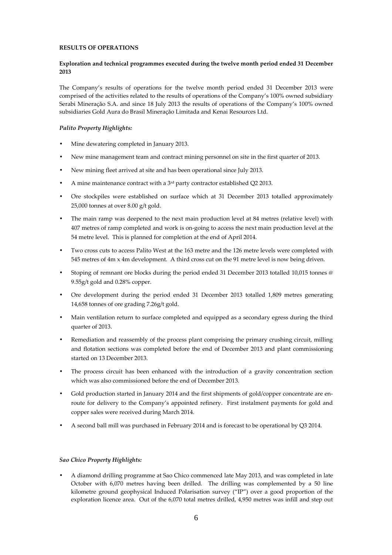# **RESULTS OF OPERATIONS**

# **Exploration and technical programmes executed during the twelve month period ended 31 December 2013**

The Company's results of operations for the twelve month period ended 31 December 2013 were comprised of the activities related to the results of operations of the Company's 100% owned subsidiary Serabi Mineraçăo S.A. and since 18 July 2013 the results of operations of the Company's 100% owned subsidiaries Gold Aura do Brasil Mineraçăo Limitada and Kenai Resources Ltd.

# *Palito Property Highlights:*

- Mine dewatering completed in January 2013.
- New mine management team and contract mining personnel on site in the first quarter of 2013.
- New mining fleet arrived at site and has been operational since July 2013.
- A mine maintenance contract with a  $3<sup>rd</sup>$  party contractor established Q2 2013.
- Ore stockpiles were established on surface which at 31 December 2013 totalled approximately 25,000 tonnes at over 8.00 g/t gold.
- The main ramp was deepened to the next main production level at 84 metres (relative level) with 407 metres of ramp completed and work is on-going to access the next main production level at the 54 metre level. This is planned for completion at the end of April 2014.
- Two cross cuts to access Palito West at the 163 metre and the 126 metre levels were completed with 545 metres of 4m x 4m development. A third cross cut on the 91 metre level is now being driven.
- Stoping of remnant ore blocks during the period ended 31 December 2013 totalled 10,015 tonnes @ 9.55g/t gold and 0.28% copper.
- Ore development during the period ended 31 December 2013 totalled 1,809 metres generating 14,658 tonnes of ore grading 7.26g/t gold.
- Main ventilation return to surface completed and equipped as a secondary egress during the third quarter of 2013.
- Remediation and reassembly of the process plant comprising the primary crushing circuit, milling and flotation sections was completed before the end of December 2013 and plant commissioning started on 13 December 2013.
- The process circuit has been enhanced with the introduction of a gravity concentration section which was also commissioned before the end of December 2013.
- Gold production started in January 2014 and the first shipments of gold/copper concentrate are enroute for delivery to the Company's appointed refinery. First instalment payments for gold and copper sales were received during March 2014.
- A second ball mill was purchased in February 2014 and is forecast to be operational by Q3 2014.

## *Sao Chico Property Highlights:*

• A diamond drilling programme at Sao Chico commenced late May 2013, and was completed in late October with 6,070 metres having been drilled. The drilling was complemented by a 50 line kilometre ground geophysical Induced Polarisation survey ("IP") over a good proportion of the exploration licence area. Out of the 6,070 total metres drilled, 4,950 metres was infill and step out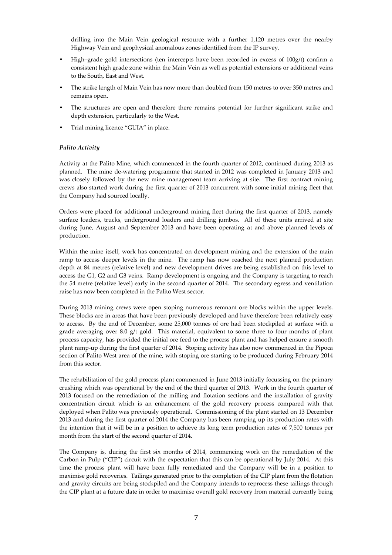drilling into the Main Vein geological resource with a further 1,120 metres over the nearby Highway Vein and geophysical anomalous zones identified from the IP survey.

- High–grade gold intersections (ten intercepts have been recorded in excess of 100g/t) confirm a consistent high grade zone within the Main Vein as well as potential extensions or additional veins to the South, East and West.
- The strike length of Main Vein has now more than doubled from 150 metres to over 350 metres and remains open.
- The structures are open and therefore there remains potential for further significant strike and depth extension, particularly to the West.
- Trial mining licence "GUIA" in place.

## *Palito Activity*

Activity at the Palito Mine, which commenced in the fourth quarter of 2012, continued during 2013 as planned. The mine de-watering programme that started in 2012 was completed in January 2013 and was closely followed by the new mine management team arriving at site. The first contract mining crews also started work during the first quarter of 2013 concurrent with some initial mining fleet that the Company had sourced locally.

Orders were placed for additional underground mining fleet during the first quarter of 2013, namely surface loaders, trucks, underground loaders and drilling jumbos. All of these units arrived at site during June, August and September 2013 and have been operating at and above planned levels of production.

Within the mine itself, work has concentrated on development mining and the extension of the main ramp to access deeper levels in the mine. The ramp has now reached the next planned production depth at 84 metres (relative level) and new development drives are being established on this level to access the G1, G2 and G3 veins. Ramp development is ongoing and the Company is targeting to reach the 54 metre (relative level) early in the second quarter of 2014. The secondary egress and ventilation raise has now been completed in the Palito West sector.

During 2013 mining crews were open stoping numerous remnant ore blocks within the upper levels. These blocks are in areas that have been previously developed and have therefore been relatively easy to access. By the end of December, some 25,000 tonnes of ore had been stockpiled at surface with a grade averaging over 8.0 g/t gold. This material, equivalent to some three to four months of plant process capacity, has provided the initial ore feed to the process plant and has helped ensure a smooth plant ramp-up during the first quarter of 2014. Stoping activity has also now commenced in the Pipoca section of Palito West area of the mine, with stoping ore starting to be produced during February 2014 from this sector.

The rehabilitation of the gold process plant commenced in June 2013 initially focussing on the primary crushing which was operational by the end of the third quarter of 2013. Work in the fourth quarter of 2013 focused on the remediation of the milling and flotation sections and the installation of gravity concentration circuit which is an enhancement of the gold recovery process compared with that deployed when Palito was previously operational. Commissioning of the plant started on 13 December 2013 and during the first quarter of 2014 the Company has been ramping up its production rates with the intention that it will be in a position to achieve its long term production rates of 7,500 tonnes per month from the start of the second quarter of 2014.

The Company is, during the first six months of 2014, commencing work on the remediation of the Carbon in Pulp ("CIP") circuit with the expectation that this can be operational by July 2014. At this time the process plant will have been fully remediated and the Company will be in a position to maximise gold recoveries. Tailings generated prior to the completion of the CIP plant from the flotation and gravity circuits are being stockpiled and the Company intends to reprocess these tailings through the CIP plant at a future date in order to maximise overall gold recovery from material currently being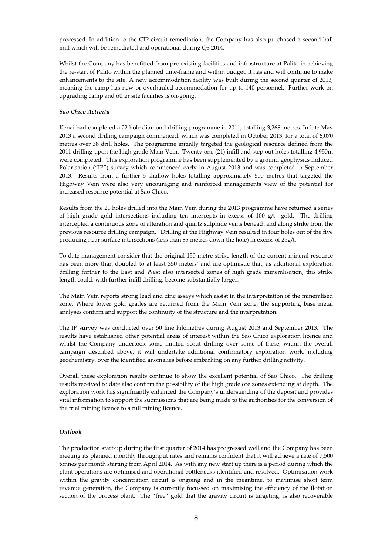processed. In addition to the CIP circuit remediation, the Company has also purchased a second ball mill which will be remediated and operational during Q3 2014.

Whilst the Company has benefitted from pre-existing facilities and infrastructure at Palito in achieving the re-start of Palito within the planned time-frame and within budget, it has and will continue to make enhancements to the site. A new accommodation facility was built during the second quarter of 2013, meaning the camp has new or overhauled accommodation for up to 140 personnel. Further work on upgrading camp and other site facilities is on-going.

## *Sao Chico Activity*

Kenai had completed a 22 hole diamond drilling programme in 2011, totalling 3,268 metres. In late May 2013 a second drilling campaign commenced, which was completed in October 2013, for a total of 6,070 metres over 38 drill holes. The programme initially targeted the geological resource defined from the 2011 drilling upon the high grade Main Vein. Twenty one (21) infill and step out holes totalling 4,950m were completed. This exploration programme has been supplemented by a ground geophysics Induced Polarisation ("IP") survey which commenced early in August 2013 and was completed in September 2013. Results from a further 5 shallow holes totalling approximately 500 metres that targeted the Highway Vein were also very encouraging and reinforced managements view of the potential for increased resource potential at Sao Chico.

Results from the 21 holes drilled into the Main Vein during the 2013 programme have returned a series of high grade gold intersections including ten intercepts in excess of 100  $g/t$  gold. The drilling intercepted a continuous zone of alteration and quartz sulphide veins beneath and along strike from the previous resource drilling campaign. Drilling at the Highway Vein resulted in four holes out of the five producing near surface intersections (less than 85 metres down the hole) in excess of 25g/t.

To date management consider that the original 150 metre strike length of the current mineral resource has been more than doubled to at least 350 meters' and are optimistic that, as additional exploration drilling further to the East and West also intersected zones of high grade mineralisation, this strike length could, with further infill drilling, become substantially larger.

The Main Vein reports strong lead and zinc assays which assist in the interpretation of the mineralised zone. Where lower gold grades are returned from the Main Vein zone, the supporting base metal analyses confirm and support the continuity of the structure and the interpretation.

The IP survey was conducted over 50 line kilometres during August 2013 and September 2013. The results have established other potential areas of interest within the Sao Chico exploration licence and whilst the Company undertook some limited scout drilling over some of these, within the overall campaign described above, it will undertake additional confirmatory exploration work, including geochemistry, over the identified anomalies before embarking on any further drilling activity.

Overall these exploration results continue to show the excellent potential of Sao Chico. The drilling results received to date also confirm the possibility of the high grade ore zones extending at depth. The exploration work has significantly enhanced the Company's understanding of the deposit and provides vital information to support the submissions that are being made to the authorities for the conversion of the trial mining licence to a full mining licence.

# *Outlook*

The production start-up during the first quarter of 2014 has progressed well and the Company has been meeting its planned monthly throughput rates and remains confident that it will achieve a rate of 7,500 tonnes per month starting from April 2014. As with any new start up there is a period during which the plant operations are optimised and operational bottlenecks identified and resolved. Optimisation work within the gravity concentration circuit is ongoing and in the meantime, to maximise short term revenue generation, the Company is currently focussed on maximising the efficiency of the flotation section of the process plant. The "free" gold that the gravity circuit is targeting, is also recoverable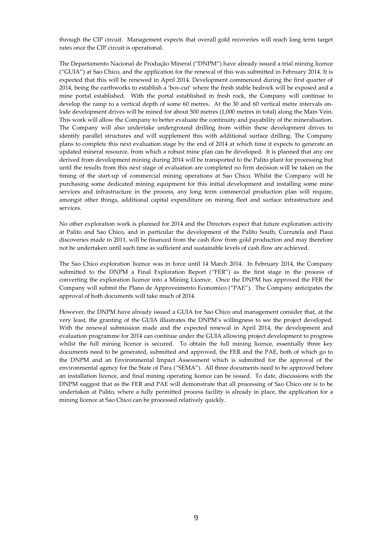through the CIP circuit. Management expects that overall gold recoveries will reach long term target rates once the CIP circuit is operational.

The Departamento Nacional de Produção Mineral ("DNPM") have already issued a trial mining licence ("GUIA") at Sao Chico, and the application for the renewal of this was submitted in February 2014. It is expected that this will be renewed in April 2014. Development commenced during the first quarter of 2014, being the earthworks to establish a 'box-cut' where the fresh stable bedrock will be exposed and a mine portal established. With the portal established in fresh rock, the Company will continue to develop the ramp to a vertical depth of some 60 metres. At the 30 and 60 vertical metre intervals onlode development drives will be mined for about 500 metres (1,000 metres in total) along the Main Vein. This work will allow the Company to better evaluate the continuity and payability of the mineralisation. The Company will also undertake underground drilling from within these development drives to identify parallel structures and will supplement this with additional surface drilling. The Company plans to complete this next evaluation stage by the end of 2014 at which time it expects to generate an updated mineral resource, from which a robust mine plan can be developed. It is planned that any ore derived from development mining during 2014 will be transported to the Palito plant for processing but until the results from this next stage of evaluation are completed no firm decision will be taken on the timing of the start-up of commercial mining operations at Sao Chico. Whilst the Company will be purchasing some dedicated mining equipment for this initial development and installing some mine services and infrastructure in the process, any long term commercial production plan will require, amongst other things, additional capital expenditure on mining fleet and surface infrastructure and services.

No other exploration work is planned for 2014 and the Directors expect that future exploration activity at Palito and Sao Chico, and in particular the development of the Palito South, Currutela and Piaui discoveries made in 2011, will be financed from the cash flow from gold production and may therefore not be undertaken until such time as sufficient and sustainable levels of cash flow are achieved.

The Sao Chico exploration licence was in force until 14 March 2014. In February 2014, the Company submitted to the DNPM a Final Exploration Report ("FER") as the first stage in the process of converting the exploration licence into a Mining Licence. Once the DNPM has approved the FER the Company will submit the Plano de Approveimento Economico ("PAE"). The Company anticipates the approval of both documents will take much of 2014.

However, the DNPM have already issued a GUIA for Sao Chico and management consider that, at the very least, the granting of the GUIA illustrates the DNPM's willingness to see the project developed. With the renewal submission made and the expected renewal in April 2014, the development and evaluation programme for 2014 can continue under the GUIA allowing project development to progress whilst the full mining licence is secured. To obtain the full mining licence, essentially three key documents need to be generated, submitted and approved, the FER and the PAE, both of which go to the DNPM and an Environmental Impact Assessment which is submitted for the approval of the environmental agency for the State of Para ("SEMA"). All three documents need to be approved before an installation licence, and final mining operating licence can be issued. To date, discussions with the DNPM suggest that as the FER and PAE will demonstrate that all processing of Sao Chico ore is to be undertaken at Palito, where a fully permitted process facility is already in place, the application for a mining licence at Sao Chico can be processed relatively quickly.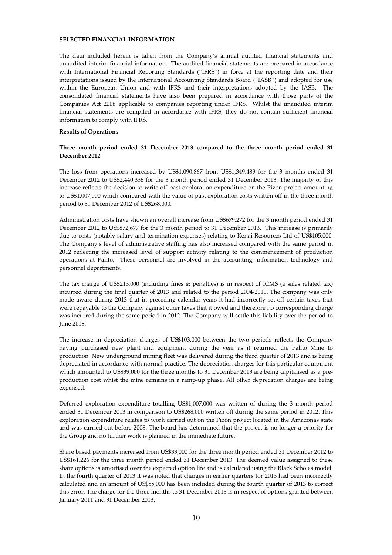# **SELECTED FINANCIAL INFORMATION**

The data included herein is taken from the Company's annual audited financial statements and unaudited interim financial information. The audited financial statements are prepared in accordance with International Financial Reporting Standards ("IFRS") in force at the reporting date and their interpretations issued by the International Accounting Standards Board ("IASB") and adopted for use within the European Union and with IFRS and their interpretations adopted by the IASB. The consolidated financial statements have also been prepared in accordance with those parts of the Companies Act 2006 applicable to companies reporting under IFRS. Whilst the unaudited interim financial statements are compiled in accordance with IFRS, they do not contain sufficient financial information to comply with IFRS.

#### **Results of Operations**

## **Three month period ended 31 December 2013 compared to the three month period ended 31 December 2012**

The loss from operations increased by US\$1,090,867 from US\$1,349,489 for the 3 months ended 31 December 2012 to US\$2,440,356 for the 3 month period ended 31 December 2013. The majority of this increase reflects the decision to write-off past exploration expenditure on the Pizon project amounting to US\$1,007,000 which compared with the value of past exploration costs written off in the three month period to 31 December 2012 of US\$268,000.

Administration costs have shown an overall increase from US\$679,272 for the 3 month period ended 31 December 2012 to US\$872,677 for the 3 month period to 31 December 2013. This increase is primarily due to costs (notably salary and termination expenses) relating to Kenai Resources Ltd of US\$105,000. The Company's level of administrative staffing has also increased compared with the same period in 2012 reflecting the increased level of support activity relating to the commencement of production operations at Palito. These personnel are involved in the accounting, information technology and personnel departments.

The tax charge of US\$213,000 (including fines & penalties) is in respect of ICMS (a sales related tax) incurred during the final quarter of 2013 and related to the period 2004-2010. The company was only made aware during 2013 that in preceding calendar years it had incorrectly set-off certain taxes that were repayable to the Company against other taxes that it owed and therefore no corresponding charge was incurred during the same period in 2012. The Company will settle this liability over the period to June 2018.

The increase in depreciation charges of US\$103,000 between the two periods reflects the Company having purchased new plant and equipment during the year as it returned the Palito Mine to production. New underground mining fleet was delivered during the third quarter of 2013 and is being depreciated in accordance with normal practice. The depreciation charges for this particular equipment which amounted to US\$39,000 for the three months to 31 December 2013 are being capitalised as a preproduction cost whist the mine remains in a ramp-up phase. All other deprecation charges are being expensed.

Deferred exploration expenditure totalling US\$1,007,000 was written of during the 3 month period ended 31 December 2013 in comparison to US\$268,000 written off during the same period in 2012. This exploration expenditure relates to work carried out on the Pizon project located in the Amazonas state and was carried out before 2008. The board has determined that the project is no longer a priority for the Group and no further work is planned in the immediate future.

Share based payments increased from US\$33,000 for the three month period ended 31 December 2012 to US\$161,226 for the three month period ended 31 December 2013. The deemed value assigned to these share options is amortised over the expected option life and is calculated using the Black Scholes model. In the fourth quarter of 2013 it was noted that charges in earlier quarters for 2013 had been incorrectly calculated and an amount of US\$85,000 has been included during the fourth quarter of 2013 to correct this error. The charge for the three months to 31 December 2013 is in respect of options granted between January 2011 and 31 December 2013.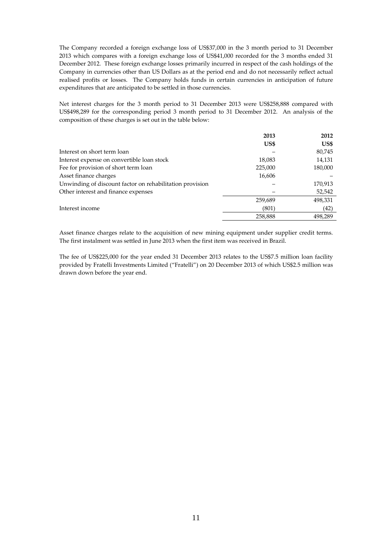The Company recorded a foreign exchange loss of US\$37,000 in the 3 month period to 31 December 2013 which compares with a foreign exchange loss of US\$41,000 recorded for the 3 months ended 31 December 2012. These foreign exchange losses primarily incurred in respect of the cash holdings of the Company in currencies other than US Dollars as at the period end and do not necessarily reflect actual realised profits or losses. The Company holds funds in certain currencies in anticipation of future expenditures that are anticipated to be settled in those currencies.

Net interest charges for the 3 month period to 31 December 2013 were US\$258,888 compared with US\$498,289 for the corresponding period 3 month period to 31 December 2012. An analysis of the composition of these charges is set out in the table below:

|                                                          | 2013    | 2012    |
|----------------------------------------------------------|---------|---------|
|                                                          | US\$    | US\$    |
| Interest on short term loan                              |         | 80,745  |
| Interest expense on convertible loan stock               | 18,083  | 14,131  |
| Fee for provision of short term loan                     | 225,000 | 180,000 |
| Asset finance charges                                    | 16,606  |         |
| Unwinding of discount factor on rehabilitation provision |         | 170,913 |
| Other interest and finance expenses                      |         | 52,542  |
|                                                          | 259,689 | 498,331 |
| Interest income                                          | (801)   | (42)    |
|                                                          | 258,888 | 498.289 |

Asset finance charges relate to the acquisition of new mining equipment under supplier credit terms. The first instalment was settled in June 2013 when the first item was received in Brazil.

The fee of US\$225,000 for the year ended 31 December 2013 relates to the US\$7.5 million loan facility provided by Fratelli Investments Limited ("Fratelli") on 20 December 2013 of which US\$2.5 million was drawn down before the year end.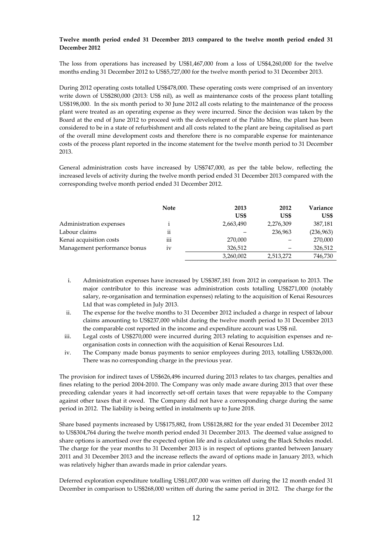# **Twelve month period ended 31 December 2013 compared to the twelve month period ended 31 December 2012**

The loss from operations has increased by US\$1,467,000 from a loss of US\$4,260,000 for the twelve months ending 31 December 2012 to US\$5,727,000 for the twelve month period to 31 December 2013.

During 2012 operating costs totalled US\$478,000. These operating costs were comprised of an inventory write down of US\$280,000 (2013: US\$ nil), as well as maintenance costs of the process plant totalling US\$198,000. In the six month period to 30 June 2012 all costs relating to the maintenance of the process plant were treated as an operating expense as they were incurred. Since the decision was taken by the Board at the end of June 2012 to proceed with the development of the Palito Mine, the plant has been considered to be in a state of refurbishment and all costs related to the plant are being capitalised as part of the overall mine development costs and therefore there is no comparable expense for maintenance costs of the process plant reported in the income statement for the twelve month period to 31 December 2013.

General administration costs have increased by US\$747,000, as per the table below, reflecting the increased levels of activity during the twelve month period ended 31 December 2013 compared with the corresponding twelve month period ended 31 December 2012.

|                              | <b>Note</b> | 2013      | 2012      | Variance  |
|------------------------------|-------------|-----------|-----------|-----------|
|                              |             | US\$      | US\$      | US\$      |
| Administration expenses      |             | 2,663,490 | 2,276,309 | 387,181   |
| Labour claims                | ii          |           | 236,963   | (236,963) |
| Kenai acquisition costs      | iii         | 270,000   |           | 270,000   |
| Management performance bonus | 1V          | 326.512   |           | 326,512   |
|                              |             | 3,260,002 | 2,513,272 | 746,730   |

- i. Administration expenses have increased by US\$387,181 from 2012 in comparison to 2013. The major contributor to this increase was administration costs totalling US\$271,000 (notably salary, re-organisation and termination expenses) relating to the acquisition of Kenai Resources Ltd that was completed in July 2013.
- ii. The expense for the twelve months to 31 December 2012 included a charge in respect of labour claims amounting to US\$237,000 whilst during the twelve month period to 31 December 2013 the comparable cost reported in the income and expenditure account was US\$ nil.
- iii. Legal costs of US\$270,000 were incurred during 2013 relating to acquisition expenses and reorganisation costs in connection with the acquisition of Kenai Resources Ltd.
- iv. The Company made bonus payments to senior employees during 2013, totalling US\$326,000. There was no corresponding charge in the previous year.

The provision for indirect taxes of US\$626,496 incurred during 2013 relates to tax charges, penalties and fines relating to the period 2004-2010. The Company was only made aware during 2013 that over these preceding calendar years it had incorrectly set-off certain taxes that were repayable to the Company against other taxes that it owed. The Company did not have a corresponding charge during the same period in 2012. The liability is being settled in instalments up to June 2018.

Share based payments increased by US\$175,882, from US\$128,882 for the year ended 31 December 2012 to US\$304,764 during the twelve month period ended 31 December 2013. The deemed value assigned to share options is amortised over the expected option life and is calculated using the Black Scholes model. The charge for the year months to 31 December 2013 is in respect of options granted between January 2011 and 31 December 2013 and the increase reflects the award of options made in January 2013, which was relatively higher than awards made in prior calendar years.

Deferred exploration expenditure totalling US\$1,007,000 was written off during the 12 month ended 31 December in comparison to US\$268,000 written off during the same period in 2012. The charge for the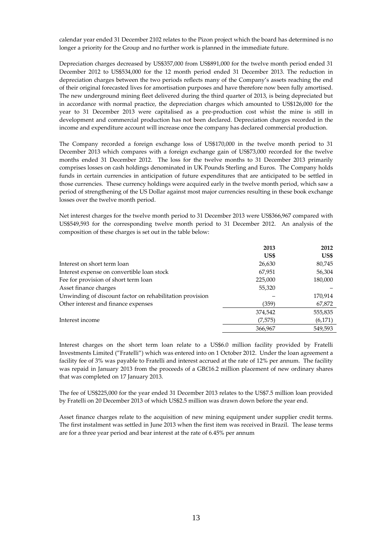calendar year ended 31 December 2102 relates to the Pizon project which the board has determined is no longer a priority for the Group and no further work is planned in the immediate future.

Depreciation charges decreased by US\$357,000 from US\$891,000 for the twelve month period ended 31 December 2012 to US\$534,000 for the 12 month period ended 31 December 2013. The reduction in depreciation charges between the two periods reflects many of the Company's assets reaching the end of their original forecasted lives for amortisation purposes and have therefore now been fully amortised. The new underground mining fleet delivered during the third quarter of 2013, is being depreciated but in accordance with normal practice, the depreciation charges which amounted to US\$126,000 for the year to 31 December 2013 were capitalised as a pre-production cost whist the mine is still in development and commercial production has not been declared. Depreciation charges recorded in the income and expenditure account will increase once the company has declared commercial production.

The Company recorded a foreign exchange loss of US\$170,000 in the twelve month period to 31 December 2013 which compares with a foreign exchange gain of US\$73,000 recorded for the twelve months ended 31 December 2012. The loss for the twelve months to 31 December 2013 primarily comprises losses on cash holdings denominated in UK Pounds Sterling and Euros. The Company holds funds in certain currencies in anticipation of future expenditures that are anticipated to be settled in those currencies. These currency holdings were acquired early in the twelve month period, which saw a period of strengthening of the US Dollar against most major currencies resulting in these book exchange losses over the twelve month period.

Net interest charges for the twelve month period to 31 December 2013 were US\$366,967 compared with US\$549,593 for the corresponding twelve month period to 31 December 2012. An analysis of the composition of these charges is set out in the table below:

|                                                          | 2013    | 2012    |
|----------------------------------------------------------|---------|---------|
|                                                          | US\$    | US\$    |
| Interest on short term loan                              | 26,630  | 80,745  |
| Interest expense on convertible loan stock               | 67,951  | 56,304  |
| Fee for provision of short term loan                     | 225,000 | 180,000 |
| Asset finance charges                                    | 55,320  |         |
| Unwinding of discount factor on rehabilitation provision |         | 170,914 |
| Other interest and finance expenses                      | (359)   | 67,872  |
|                                                          | 374,542 | 555,835 |
| Interest income                                          | (7,575) | (6,171) |
|                                                          | 366,967 | 549,593 |

Interest charges on the short term loan relate to a US\$6.0 million facility provided by Fratelli Investments Limited ("Fratelli") which was entered into on 1 October 2012. Under the loan agreement a facility fee of 3% was payable to Fratelli and interest accrued at the rate of 12% per annum. The facility was repaid in January 2013 from the proceeds of a GB£16.2 million placement of new ordinary shares that was completed on 17 January 2013.

The fee of US\$225,000 for the year ended 31 December 2013 relates to the US\$7.5 million loan provided by Fratelli on 20 December 2013 of which US\$2.5 million was drawn down before the year end.

Asset finance charges relate to the acquisition of new mining equipment under supplier credit terms. The first instalment was settled in June 2013 when the first item was received in Brazil. The lease terms are for a three year period and bear interest at the rate of 6.45% per annum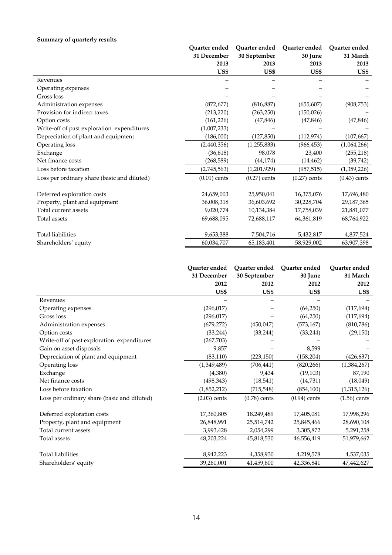# **Summary of quarterly results**

|                                             | Ouarter ended  | Quarter ended  | Quarter ended  | Quarter ended  |
|---------------------------------------------|----------------|----------------|----------------|----------------|
|                                             | 31 December    | 30 September   | 30 June        | 31 March       |
|                                             | 2013           | 2013           | 2013           | 2013           |
|                                             | US\$           | US\$           | US\$           | US\$           |
| Revenues                                    |                |                |                |                |
| Operating expenses                          |                |                |                |                |
| Gross loss                                  |                |                |                |                |
| Administration expenses                     | (872, 677)     | (816, 887)     | (655, 607)     | (908, 753)     |
| Provision for indirect taxes                | (213, 220)     | (263, 250)     | (150, 026)     |                |
| Option costs                                | (161, 226)     | (47, 846)      | (47, 846)      | (47, 846)      |
| Write-off of past exploration expenditures  | (1,007,233)    |                |                |                |
| Depreciation of plant and equipment         | (186,000)      | (127, 850)     | (112, 974)     | (107, 667)     |
| Operating loss                              | (2,440,356)    | (1, 255, 833)  | (966, 453)     | (1,064,266)    |
| Exchange                                    | (36, 618)      | 98,078         | 23,400         | (255, 218)     |
| Net finance costs                           | (268, 589)     | (44, 174)      | (14, 462)      | (39, 742)      |
| Loss before taxation                        | (2,745,563)    | (1,201,929)    | (957, 515)     | (1,359,226)    |
| Loss per ordinary share (basic and diluted) | $(0.01)$ cents | $(0.27)$ cents | $(0.27)$ cents | $(0.43)$ cents |
| Deferred exploration costs                  | 24,659,003     | 25,950,041     | 16,375,076     | 17,696,480     |
| Property, plant and equipment               | 36,008,318     | 36,603,692     | 30,228,704     | 29,187,365     |
| Total current assets                        | 9,020,774      | 10,134,384     | 17,758,039     | 21,881,077     |
| Total assets                                | 69,688,095     | 72,688,117     | 64,361,819     | 68,764,922     |
| <b>Total liabilities</b>                    | 9,653,388      | 7,504,716      | 5,432,817      | 4,857,524      |
| Shareholders' equity                        | 60,034,707     | 65,183,401     | 58,929,002     | 63,907,398     |

|                                             | Ouarter ended<br>31 December | Ouarter ended<br>30 September | Quarter ended<br>30 June | Quarter ended<br>31 March |
|---------------------------------------------|------------------------------|-------------------------------|--------------------------|---------------------------|
|                                             | 2012                         | 2012                          | 2012                     | 2012                      |
|                                             | US\$                         | US\$                          | US\$                     | US\$                      |
| Revenues                                    |                              |                               |                          |                           |
| Operating expenses                          | (296, 017)                   |                               | (64,250)                 | (117, 694)                |
| Gross loss                                  | (296, 017)                   |                               | (64,250)                 | (117, 694)                |
| Administration expenses                     | (679, 272)                   | (450, 047)                    | (573, 167)               | (810,786)                 |
| Option costs                                | (33, 244)                    | (33, 244)                     | (33, 244)                | (29, 150)                 |
| Write-off of past exploration expenditures  | (267, 703)                   |                               |                          |                           |
| Gain on asset disposals                     | 9,857                        |                               | 8,599                    |                           |
| Depreciation of plant and equipment         | (83, 110)                    | (223, 150)                    | (158, 204)               | (426, 637)                |
| Operating loss                              | (1,349,489)                  | (706, 441)                    | (820, 266)               | (1,384,267)               |
| Exchange                                    | (4,380)                      | 9,434                         | (19, 103)                | 87,190                    |
| Net finance costs                           | (498, 343)                   | (18, 541)                     | (14,731)                 | (18,049)                  |
| Loss before taxation                        | (1,852,212)                  | (715, 548)                    | (854, 100)               | (1,315,126)               |
| Loss per ordinary share (basic and diluted) | $(2.03)$ cents               | $(0.78)$ cents                | $(0.94)$ cents           | $(1.56)$ cents            |
| Deferred exploration costs                  | 17,360,805                   | 18,249,489                    | 17,405,081               | 17,998,296                |
| Property, plant and equipment               | 26,848,991                   | 25,514,742                    | 25,845,466               | 28,690,108                |
| Total current assets                        | 3,993,428                    | 2,054,299                     | 3,305,872                | 5,291,258                 |
| Total assets                                | 48,203,224                   | 45,818,530                    | 46,556,419               | 51,979,662                |
| <b>Total liabilities</b>                    | 8,942,223                    | 4,358,930                     | 4,219,578                | 4,537,035                 |
| Shareholders' equity                        | 39,261,001                   | 41,459,600                    | 42,336,841               | 47,442,627                |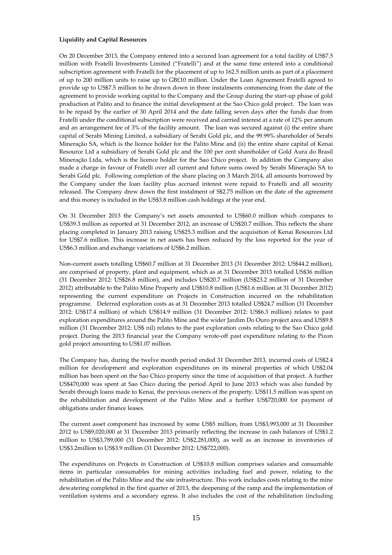## **Liquidity and Capital Resources**

On 20 December 2013, the Company entered into a secured loan agreement for a total facility of US\$7.5 million with Fratelli Investments Limited ("Fratelli") and at the same time entered into a conditional subscription agreement with Fratelli for the placement of up to 162.5 million units as part of a placement of up to 200 million units to raise up to GB£10 million. Under the Loan Agreement Fratelli agreed to provide up to US\$7.5 million to be drawn down in three instalments commencing from the date of the agreement to provide working capital to the Company and the Group during the start-up phase of gold production at Palito and to finance the initial development at the Sao Chico gold project. The loan was to be repaid by the earlier of 30 April 2014 and the date falling seven days after the funds due from Fratelli under the conditional subscription were received and carried interest at a rate of 12% per annum and an arrangement fee of 3% of the facility amount. The loan was secured against (i) the entire share capital of Serabi Mining Limited, a subsidiary of Serabi Gold plc, and the 99.99% shareholder of Serabi Mineraçăo SA, which is the licence holder for the Palito Mine and (ii) the entire share capital of Kenai Resource Ltd a subsidiary of Serabi Gold plc and the 100 per cent shareholder of Gold Aura do Brasil Mineraçăo Ltda, which is the licence holder for the Sao Chico project. In addition the Company also made a charge in favour of Fratelli over all current and future sums owed by Serabi Mineraçăo SA to Serabi Gold plc. Following completion of the share placing on 3 March 2014, all amounts borrowed by the Company under the loan facility plus accrued interest were repaid to Fratelli and all security released. The Company drew down the first instalment of S\$2.75 million on the date of the agreement and this money is included in the US\$3.8 million cash holdings at the year end.

On 31 December 2013 the Company's net assets amounted to US\$60.0 million which compares to US\$39.3 million as reported at 31 December 2012, an increase of US\$20.7 million. This reflects the share placing completed in January 2013 raising US\$25.3 million and the acquisition of Kenai Resources Ltd for US\$7.6 million. This increase in net assets has been reduced by the loss reported for the year of US\$6.3 million and exchange variations of US\$6.2 million.

Non-current assets totalling US\$60.7 million at 31 December 2013 (31 December 2012: US\$44.2 million), are comprised of property, plant and equipment, which as at 31 December 2013 totalled US\$36 million (31 December 2012: US\$26.8 million), and includes US\$20.7 million (US\$23.2 million of 31 December 2012) attributable to the Palito Mine Property and US\$10.8 million (US\$1.6 million at 31 December 2012) representing the current expenditure on Projects in Construction incurred on the rehabilitation programme. Deferred exploration costs as at 31 December 2013 totalled US\$24.7 million (31 December 2012: US\$17.4 million) of which US\$14.9 million (31 December 2012: US\$6.3 million) relates to past exploration expenditures around the Palito Mine and the wider Jardim Do Ouro project area and US\$9.8 million (31 December 2012: US\$ nil) relates to the past exploration costs relating to the Sao Chico gold project. During the 2013 financial year the Company wrote-off past expenditure relating to the Pizon gold project amounting to US\$1.07 million.

The Company has, during the twelve month period ended 31 December 2013, incurred costs of US\$2.4 million for development and exploration expenditures on its mineral properties of which US\$2.04 million has been spent on the Sao Chico property since the time of acquisition of that project. A further US\$470,000 was spent at Sao Chico during the period April to June 2013 which was also funded by Serabi through loans made to Kenai, the previous owners of the property. US\$11.5 million was spent on the rehabilitation and development of the Palito Mine and a further US\$720,000 for payment of obligations under finance leases.

The current asset component has increased by some US\$5 million, from US\$3,993,000 at 31 December 2012 to US\$9,020,000 at 31 December 2013 primarily reflecting the increase in cash balances of US\$1.2 million to US\$3,789,000 (31 December 2012: US\$2,281,000), as well as an increase in inventories of US\$3.2million to US\$3.9 million (31 December 2012: US\$722,000).

The expenditures on Projects in Construction of US\$10.8 million comprises salaries and consumable items in particular consumables for mining activities including fuel and power, relating to the rehabilitation of the Palito Mine and the site infrastructure. This work includes costs relating to the mine dewatering completed in the first quarter of 2013, the deepening of the ramp and the implementation of ventilation systems and a secondary egress. It also includes the cost of the rehabilitation (including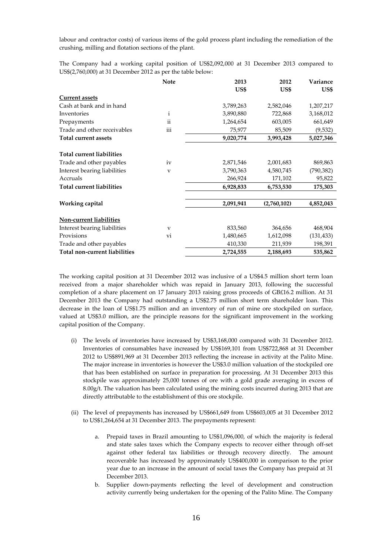labour and contractor costs) of various items of the gold process plant including the remediation of the crushing, milling and flotation sections of the plant.

The Company had a working capital position of US\$2,092,000 at 31 December 2013 compared to US\$(2,760,000) at 31 December 2012 as per the table below:

|                                  | <b>Note</b>  | 2013      | 2012        | Variance   |
|----------------------------------|--------------|-----------|-------------|------------|
|                                  |              | US\$      | US\$        | US\$       |
| <b>Current assets</b>            |              |           |             |            |
| Cash at bank and in hand         |              | 3,789,263 | 2,582,046   | 1,207,217  |
| Inventories                      | $\mathbf{i}$ | 3,890,880 | 722,868     | 3,168,012  |
| Prepayments                      | ii           | 1,264,654 | 603,005     | 661,649    |
| Trade and other receivables      | iii          | 75,977    | 85,509      | (9,532)    |
| <b>Total current assets</b>      |              | 9,020,774 | 3,993,428   | 5,027,346  |
| <b>Total current liabilities</b> |              |           |             |            |
| Trade and other payables         | iv           | 2,871,546 | 2,001,683   | 869,863    |
| Interest bearing liabilities     | V            | 3,790,363 | 4,580,745   | (790, 382) |
| Accruals                         |              | 266,924   | 171,102     | 95,822     |
| <b>Total current liabilities</b> |              | 6,928,833 | 6,753,530   | 175,303    |
| Working capital                  |              | 2,091,941 | (2,760,102) | 4,852,043  |
|                                  |              |           |             |            |
| Non-current liabilities          |              |           |             |            |
| Interest bearing liabilities     | V            | 833,560   | 364,656     | 468,904    |
| Provisions                       | vi           | 1,480,665 | 1,612,098   | (131, 433) |
| Trade and other payables         |              | 410,330   | 211,939     | 198,391    |
| Total non-current liabilities    |              | 2,724,555 | 2,188,693   | 535,862    |

The working capital position at 31 December 2012 was inclusive of a US\$4.5 million short term loan received from a major shareholder which was repaid in January 2013, following the successful completion of a share placement on 17 January 2013 raising gross proceeds of GB£16.2 million. At 31 December 2013 the Company had outstanding a US\$2.75 million short term shareholder loan. This decrease in the loan of US\$1.75 million and an inventory of run of mine ore stockpiled on surface, valued at US\$3.0 million, are the principle reasons for the significant improvement in the working capital position of the Company.

- (i) The levels of inventories have increased by US\$3,168,000 compared with 31 December 2012. Inventories of consumables have increased by US\$169,101 from US\$722,868 at 31 December 2012 to US\$891,969 at 31 December 2013 reflecting the increase in activity at the Palito Mine. The major increase in inventories is however the US\$3.0 million valuation of the stockpiled ore that has been established on surface in preparation for processing. At 31 December 2013 this stockpile was approximately 25,000 tonnes of ore with a gold grade averaging in excess of  $8.00g/t$ . The valuation has been calculated using the mining costs incurred during 2013 that are directly attributable to the establishment of this ore stockpile.
- (ii) The level of prepayments has increased by US\$661,649 from US\$603,005 at 31 December 2012 to US\$1,264,654 at 31 December 2013. The prepayments represent:
	- a. Prepaid taxes in Brazil amounting to US\$1,096,000, of which the majority is federal and state sales taxes which the Company expects to recover either through off-set against other federal tax liabilities or through recovery directly. The amount recoverable has increased by approximately US\$400,000 in comparison to the prior year due to an increase in the amount of social taxes the Company has prepaid at 31 December 2013.
	- b. Supplier down-payments reflecting the level of development and construction activity currently being undertaken for the opening of the Palito Mine. The Company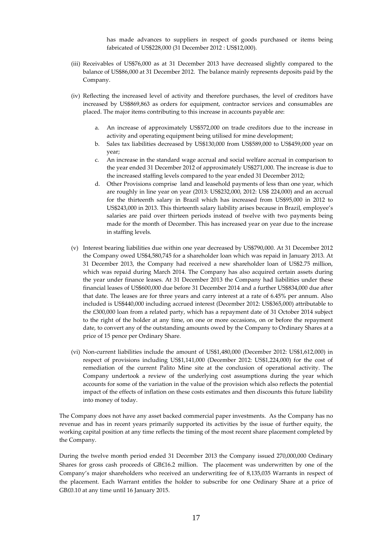has made advances to suppliers in respect of goods purchased or items being fabricated of US\$228,000 (31 December 2012 : US\$12,000).

- (iii) Receivables of US\$76,000 as at 31 December 2013 have decreased slightly compared to the balance of US\$86,000 at 31 December 2012. The balance mainly represents deposits paid by the Company.
- (iv) Reflecting the increased level of activity and therefore purchases, the level of creditors have increased by US\$869,863 as orders for equipment, contractor services and consumables are placed. The major items contributing to this increase in accounts payable are:
	- a. An increase of approximately US\$572,000 on trade creditors due to the increase in activity and operating equipment being utilised for mine development;
	- b. Sales tax liabilities decreased by US\$130,000 from US\$589,000 to US\$459,000 year on year;
	- c. An increase in the standard wage accrual and social welfare accrual in comparison to the year ended 31 December 2012 of approximately US\$271,000. The increase is due to the increased staffing levels compared to the year ended 31 December 2012;
	- d. Other Provisions comprise land and leasehold payments of less than one year, which are roughly in line year on year (2013: US\$232,000, 2012: US\$ 224,000) and an accrual for the thirteenth salary in Brazil which has increased from US\$95,000 in 2012 to US\$243,000 in 2013. This thirteenth salary liability arises because in Brazil, employee's salaries are paid over thirteen periods instead of twelve with two payments being made for the month of December. This has increased year on year due to the increase in staffing levels.
- (v) Interest bearing liabilities due within one year decreased by US\$790,000. At 31 December 2012 the Company owed US\$4,580,745 for a shareholder loan which was repaid in January 2013. At 31 December 2013, the Company had received a new shareholder loan of US\$2.75 million, which was repaid during March 2014. The Company has also acquired certain assets during the year under finance leases. At 31 December 2013 the Company had liabilities under these financial leases of US\$600,000 due before 31 December 2014 and a further US\$834,000 due after that date. The leases are for three years and carry interest at a rate of 6.45% per annum. Also included is US\$440,000 including accrued interest (December 2012: US\$365,000) attributable to the £300,000 loan from a related party, which has a repayment date of 31 October 2014 subject to the right of the holder at any time, on one or more occasions, on or before the repayment date, to convert any of the outstanding amounts owed by the Company to Ordinary Shares at a price of 15 pence per Ordinary Share.
- (vi) Non-current liabilities include the amount of US\$1,480,000 (December 2012: US\$1,612,000) in respect of provisions including US\$1,141,000 (December 2012: US\$1,224,000) for the cost of remediation of the current Palito Mine site at the conclusion of operational activity. The Company undertook a review of the underlying cost assumptions during the year which accounts for some of the variation in the value of the provision which also reflects the potential impact of the effects of inflation on these costs estimates and then discounts this future liability into money of today.

The Company does not have any asset backed commercial paper investments. As the Company has no revenue and has in recent years primarily supported its activities by the issue of further equity, the working capital position at any time reflects the timing of the most recent share placement completed by the Company.

During the twelve month period ended 31 December 2013 the Company issued 270,000,000 Ordinary Shares for gross cash proceeds of GB£16.2 million. The placement was underwritten by one of the Company's major shareholders who received an underwriting fee of 8,135,035 Warrants in respect of the placement. Each Warrant entitles the holder to subscribe for one Ordinary Share at a price of GB£0.10 at any time until 16 January 2015.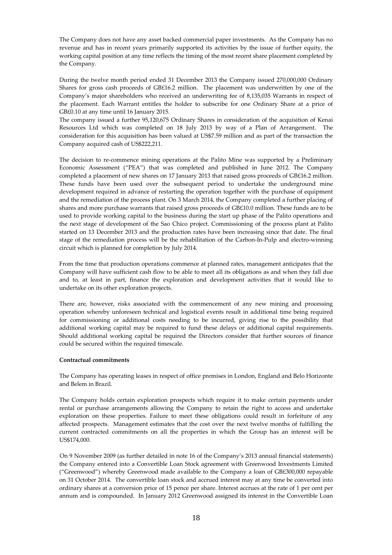The Company does not have any asset backed commercial paper investments. As the Company has no revenue and has in recent years primarily supported its activities by the issue of further equity, the working capital position at any time reflects the timing of the most recent share placement completed by the Company.

During the twelve month period ended 31 December 2013 the Company issued 270,000,000 Ordinary Shares for gross cash proceeds of GB£16.2 million. The placement was underwritten by one of the Company's major shareholders who received an underwriting fee of 8,135,035 Warrants in respect of the placement. Each Warrant entitles the holder to subscribe for one Ordinary Share at a price of GB£0.10 at any time until 16 January 2015.

The company issued a further 95,120,675 Ordinary Shares in consideration of the acquisition of Kenai Resources Ltd which was completed on 18 July 2013 by way of a Plan of Arrangement. The consideration for this acquisition has been valued at US\$7.59 million and as part of the transaction the Company acquired cash of US\$222,211.

The decision to re-commence mining operations at the Palito Mine was supported by a Preliminary Economic Assessment ("PEA") that was completed and published in June 2012. The Company completed a placement of new shares on 17 January 2013 that raised gross proceeds of GB£16.2 million. These funds have been used over the subsequent period to undertake the underground mine development required in advance of restarting the operation together with the purchase of equipment and the remediation of the process plant. On 3 March 2014, the Company completed a further placing of shares and more purchase warrants that raised gross proceeds of GB£10.0 million. These funds are to be used to provide working capital to the business during the start up phase of the Palito operations and the next stage of development of the Sao Chico project. Commissioning of the process plant at Palito started on 13 December 2013 and the production rates have been increasing since that date. The final stage of the remediation process will be the rehabilitation of the Carbon-In-Pulp and electro-winning circuit which is planned for completion by July 2014.

From the time that production operations commence at planned rates, management anticipates that the Company will have sufficient cash flow to be able to meet all its obligations as and when they fall due and to, at least in part, finance the exploration and development activities that it would like to undertake on its other exploration projects.

There are, however, risks associated with the commencement of any new mining and processing operation whereby unforeseen technical and logistical events result in additional time being required for commissioning or additional costs needing to be incurred, giving rise to the possibility that additional working capital may be required to fund these delays or additional capital requirements. Should additional working capital be required the Directors consider that further sources of finance could be secured within the required timescale.

## **Contractual commitments**

The Company has operating leases in respect of office premises in London, England and Belo Horizonte and Belem in Brazil.

The Company holds certain exploration prospects which require it to make certain payments under rental or purchase arrangements allowing the Company to retain the right to access and undertake exploration on these properties. Failure to meet these obligations could result in forfeiture of any affected prospects. Management estimates that the cost over the next twelve months of fulfilling the current contracted commitments on all the properties in which the Group has an interest will be US\$174,000.

On 9 November 2009 (as further detailed in note 16 of the Company's 2013 annual financial statements) the Company entered into a Convertible Loan Stock agreement with Greenwood Investments Limited ("Greenwood") whereby Greenwood made available to the Company a loan of GB£300,000 repayable on 31 October 2014. The convertible loan stock and accrued interest may at any time be converted into ordinary shares at a conversion price of 15 pence per share. Interest accrues at the rate of 1 per cent per annum and is compounded. In January 2012 Greenwood assigned its interest in the Convertible Loan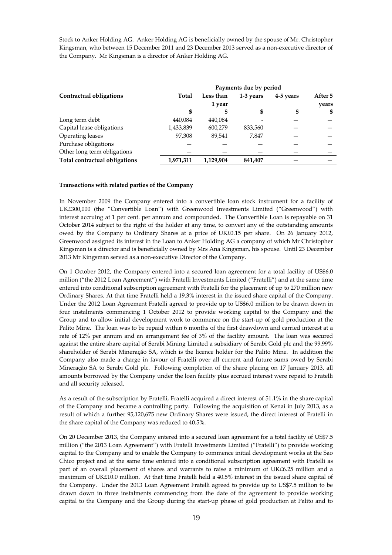Stock to Anker Holding AG. Anker Holding AG is beneficially owned by the spouse of Mr. Christopher Kingsman, who between 15 December 2011 and 23 December 2013 served as a non-executive director of the Company. Mr Kingsman is a director of Anker Holding AG.

|                               |           |           | Payments due by period |           |         |
|-------------------------------|-----------|-----------|------------------------|-----------|---------|
| Contractual obligations       | Total     | Less than | 1-3 years              | 4-5 years | After 5 |
|                               |           | 1 year    |                        |           | years   |
|                               | S         |           | \$                     | S         | S       |
| Long term debt                | 440,084   | 440,084   |                        |           |         |
| Capital lease obligations     | 1,433,839 | 600,279   | 833,560                |           |         |
| Operating leases              | 97,308    | 89.541    | 7,847                  |           |         |
| Purchase obligations          |           |           |                        |           |         |
| Other long term obligations   |           |           |                        |           |         |
| Total contractual obligations | 1,971,311 | 1,129,904 | 841,407                |           |         |

#### **Transactions with related parties of the Company**

In November 2009 the Company entered into a convertible loan stock instrument for a facility of UK£300,000 (the "Convertible Loan") with Greenwood Investments Limited ("Greenwood") with interest accruing at 1 per cent. per annum and compounded. The Convertible Loan is repayable on 31 October 2014 subject to the right of the holder at any time, to convert any of the outstanding amounts owed by the Company to Ordinary Shares at a price of UK£0.15 per share. On 26 January 2012, Greenwood assigned its interest in the Loan to Anker Holding AG a company of which Mr Christopher Kingsman is a director and is beneficially owned by Mrs Ana Kingsman, his spouse. Until 23 December 2013 Mr Kingsman served as a non-executive Director of the Company.

On 1 October 2012, the Company entered into a secured loan agreement for a total facility of US\$6.0 million ("the 2012 Loan Agreement") with Fratelli Investments Limited ("Fratelli") and at the same time entered into conditional subscription agreement with Fratelli for the placement of up to 270 million new Ordinary Shares. At that time Fratelli held a 19.3% interest in the issued share capital of the Company. Under the 2012 Loan Agreement Fratelli agreed to provide up to US\$6.0 million to be drawn down in four instalments commencing 1 October 2012 to provide working capital to the Company and the Group and to allow initial development work to commence on the start-up of gold production at the Palito Mine. The loan was to be repaid within 6 months of the first drawdown and carried interest at a rate of 12% per annum and an arrangement fee of 3% of the facility amount. The loan was secured against the entire share capital of Serabi Mining Limited a subsidiary of Serabi Gold plc and the 99.99% shareholder of Serabi Mineraçăo SA, which is the licence holder for the Palito Mine. In addition the Company also made a charge in favour of Fratelli over all current and future sums owed by Serabi Mineraçăo SA to Serabi Gold plc. Following completion of the share placing on 17 January 2013, all amounts borrowed by the Company under the loan facility plus accrued interest were repaid to Fratelli and all security released.

As a result of the subscription by Fratelli, Fratelli acquired a direct interest of 51.1% in the share capital of the Company and became a controlling party. Following the acquisition of Kenai in July 2013, as a result of which a further 95,120,675 new Ordinary Shares were issued, the direct interest of Fratelli in the share capital of the Company was reduced to 40.5%.

On 20 December 2013, the Company entered into a secured loan agreement for a total facility of US\$7.5 million ("the 2013 Loan Agreement") with Fratelli Investments Limited ("Fratelli") to provide working capital to the Company and to enable the Company to commence initial development works at the Sao Chico project and at the same time entered into a conditional subscription agreement with Fratelli as part of an overall placement of shares and warrants to raise a minimum of UK£6.25 million and a maximum of UK£10.0 million. At that time Fratelli held a 40.5% interest in the issued share capital of the Company. Under the 2013 Loan Agreement Fratelli agreed to provide up to US\$7.5 million to be drawn down in three instalments commencing from the date of the agreement to provide working capital to the Company and the Group during the start-up phase of gold production at Palito and to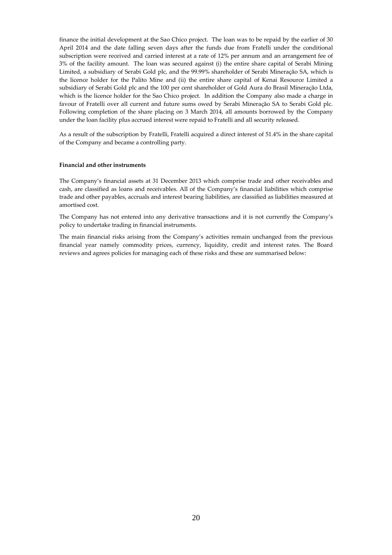finance the initial development at the Sao Chico project. The loan was to be repaid by the earlier of 30 April 2014 and the date falling seven days after the funds due from Fratelli under the conditional subscription were received and carried interest at a rate of 12% per annum and an arrangement fee of 3% of the facility amount. The loan was secured against (i) the entire share capital of Serabi Mining Limited, a subsidiary of Serabi Gold plc, and the 99.99% shareholder of Serabi Mineraçăo SA, which is the licence holder for the Palito Mine and (ii) the entire share capital of Kenai Resource Limited a subsidiary of Serabi Gold plc and the 100 per cent shareholder of Gold Aura do Brasil Mineraçăo Ltda, which is the licence holder for the Sao Chico project. In addition the Company also made a charge in favour of Fratelli over all current and future sums owed by Serabi Mineraçăo SA to Serabi Gold plc. Following completion of the share placing on 3 March 2014, all amounts borrowed by the Company under the loan facility plus accrued interest were repaid to Fratelli and all security released.

As a result of the subscription by Fratelli, Fratelli acquired a direct interest of 51.4% in the share capital of the Company and became a controlling party.

## **Financial and other instruments**

The Company's financial assets at 31 December 2013 which comprise trade and other receivables and cash, are classified as loans and receivables. All of the Company's financial liabilities which comprise trade and other payables, accruals and interest bearing liabilities, are classified as liabilities measured at amortised cost.

The Company has not entered into any derivative transactions and it is not currently the Company's policy to undertake trading in financial instruments.

The main financial risks arising from the Company's activities remain unchanged from the previous financial year namely commodity prices, currency, liquidity, credit and interest rates. The Board reviews and agrees policies for managing each of these risks and these are summarised below: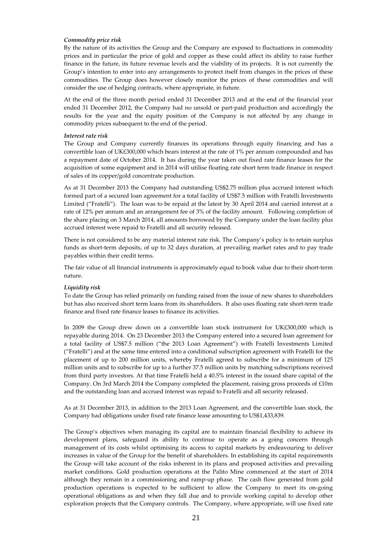## *Commodity price risk*

By the nature of its activities the Group and the Company are exposed to fluctuations in commodity prices and in particular the price of gold and copper as these could affect its ability to raise further finance in the future, its future revenue levels and the viability of its projects. It is not currently the Group's intention to enter into any arrangements to protect itself from changes in the prices of these commodities. The Group does however closely monitor the prices of these commodities and will consider the use of hedging contracts, where appropriate, in future.

At the end of the three month period ended 31 December 2013 and at the end of the financial year ended 31 December 2012, the Company had no unsold or part-paid production and accordingly the results for the year and the equity position of the Company is not affected by any change in commodity prices subsequent to the end of the period.

## *Interest rate risk*

The Group and Company currently finances its operations through equity financing and has a convertible loan of UK£300,000 which bears interest at the rate of 1% per annum compounded and has a repayment date of October 2014. It has during the year taken out fixed rate finance leases for the acquisition of some equipment and in 2014 will utilise floating rate short term trade finance in respect of sales of its copper/gold concentrate production.

As at 31 December 2013 the Company had outstanding US\$2.75 million plus accrued interest which formed part of a secured loan agreement for a total facility of US\$7.5 million with Fratelli Investments Limited ("Fratelli"). The loan was to be repaid at the latest by 30 April 2014 and carried interest at a rate of 12% per annum and an arrangement fee of 3% of the facility amount. Following completion of the share placing on 3 March 2014, all amounts borrowed by the Company under the loan facility plus accrued interest were repaid to Fratelli and all security released.

There is not considered to be any material interest rate risk. The Company's policy is to retain surplus funds as short-term deposits, of up to 32 days duration, at prevailing market rates and to pay trade payables within their credit terms.

The fair value of all financial instruments is approximately equal to book value due to their short-term nature.

## *Liquidity risk*

To date the Group has relied primarily on funding raised from the issue of new shares to shareholders but has also received short term loans from its shareholders. It also uses floating rate short-term trade finance and fixed rate finance leases to finance its activities.

In 2009 the Group drew down on a convertible loan stock instrument for UK£300,000 which is repayable during 2014. On 23 December 2013 the Company entered into a secured loan agreement for a total facility of US\$7.5 million ("the 2013 Loan Agreement") with Fratelli Investments Limited ("Fratelli") and at the same time entered into a conditional subscription agreement with Fratelli for the placement of up to 200 million units, whereby Fratelli agreed to subscribe for a minimum of 125 million units and to subscribe for up to a further 37.5 million units by matching subscriptions received from third party investors. At that time Fratelli held a 40.5% interest in the issued share capital of the Company. On 3rd March 2014 the Company completed the placement, raising gross proceeds of £10m and the outstanding loan and accrued interest was repaid to Fratelli and all security released.

As at 31 December 2013, in addition to the 2013 Loan Agreement, and the convertible loan stock, the Company had obligations under fixed rate finance lease amounting to US\$1,433,839.

The Group's objectives when managing its capital are to maintain financial flexibility to achieve its development plans, safeguard its ability to continue to operate as a going concern through management of its costs whilst optimising its access to capital markets by endeavouring to deliver increases in value of the Group for the benefit of shareholders. In establishing its capital requirements the Group will take account of the risks inherent in its plans and proposed activities and prevailing market conditions. Gold production operations at the Palito Mine commenced at the start of 2014 although they remain in a commissioning and ramp-up phase. The cash flow generated from gold production operations is expected to be sufficient to allow the Company to meet its on-going operational obligations as and when they fall due and to provide working capital to develop other exploration projects that the Company controls. The Company, where appropriate, will use fixed rate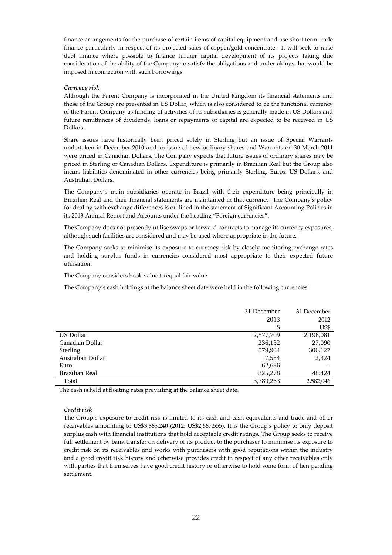finance arrangements for the purchase of certain items of capital equipment and use short term trade finance particularly in respect of its projected sales of copper/gold concentrate. It will seek to raise debt finance where possible to finance further capital development of its projects taking due consideration of the ability of the Company to satisfy the obligations and undertakings that would be imposed in connection with such borrowings.

## *Currency risk*

Although the Parent Company is incorporated in the United Kingdom its financial statements and those of the Group are presented in US Dollar, which is also considered to be the functional currency of the Parent Company as funding of activities of its subsidiaries is generally made in US Dollars and future remittances of dividends, loans or repayments of capital are expected to be received in US Dollars.

Share issues have historically been priced solely in Sterling but an issue of Special Warrants undertaken in December 2010 and an issue of new ordinary shares and Warrants on 30 March 2011 were priced in Canadian Dollars. The Company expects that future issues of ordinary shares may be priced in Sterling or Canadian Dollars. Expenditure is primarily in Brazilian Real but the Group also incurs liabilities denominated in other currencies being primarily Sterling, Euros, US Dollars, and Australian Dollars.

The Company's main subsidiaries operate in Brazil with their expenditure being principally in Brazilian Real and their financial statements are maintained in that currency. The Company's policy for dealing with exchange differences is outlined in the statement of Significant Accounting Policies in its 2013 Annual Report and Accounts under the heading "Foreign currencies".

The Company does not presently utilise swaps or forward contracts to manage its currency exposures, although such facilities are considered and may be used where appropriate in the future.

The Company seeks to minimise its exposure to currency risk by closely monitoring exchange rates and holding surplus funds in currencies considered most appropriate to their expected future utilisation.

The Company considers book value to equal fair value.

The Company's cash holdings at the balance sheet date were held in the following currencies:

|                   | 31 December | 31 December |
|-------------------|-------------|-------------|
|                   | 2013        | 2012        |
|                   |             | US\$        |
| <b>US Dollar</b>  | 2,577,709   | 2,198,081   |
| Canadian Dollar   | 236,132     | 27,090      |
| Sterling          | 579,904     | 306,127     |
| Australian Dollar | 7,554       | 2,324       |
| Euro              | 62,686      |             |
| Brazilian Real    | 325,278     | 48,424      |
| Total             | 3,789,263   | 2,582,046   |

The cash is held at floating rates prevailing at the balance sheet date.

## *Credit risk*

The Group's exposure to credit risk is limited to its cash and cash equivalents and trade and other receivables amounting to US\$3,865,240 (2012: US\$2,667,555). It is the Group's policy to only deposit surplus cash with financial institutions that hold acceptable credit ratings. The Group seeks to receive full settlement by bank transfer on delivery of its product to the purchaser to minimise its exposure to credit risk on its receivables and works with purchasers with good reputations within the industry and a good credit risk history and otherwise provides credit in respect of any other receivables only with parties that themselves have good credit history or otherwise to hold some form of lien pending settlement.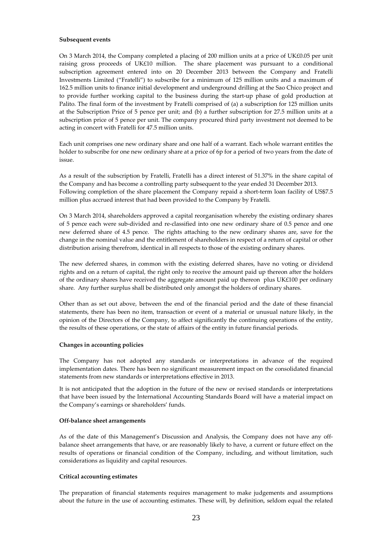#### **Subsequent events**

On 3 March 2014, the Company completed a placing of 200 million units at a price of UK£0.05 per unit raising gross proceeds of UK£10 million. The share placement was pursuant to a conditional subscription agreement entered into on 20 December 2013 between the Company and Fratelli Investments Limited ("Fratelli") to subscribe for a minimum of 125 million units and a maximum of 162.5 million units to finance initial development and underground drilling at the Sao Chico project and to provide further working capital to the business during the start-up phase of gold production at Palito. The final form of the investment by Fratelli comprised of (a) a subscription for 125 million units at the Subscription Price of 5 pence per unit; and (b) a further subscription for 27.5 million units at a subscription price of 5 pence per unit. The company procured third party investment not deemed to be acting in concert with Fratelli for 47.5 million units.

Each unit comprises one new ordinary share and one half of a warrant. Each whole warrant entitles the holder to subscribe for one new ordinary share at a price of 6p for a period of two years from the date of issue.

As a result of the subscription by Fratelli, Fratelli has a direct interest of 51.37% in the share capital of the Company and has become a controlling party subsequent to the year ended 31 December 2013. Following completion of the share placement the Company repaid a short-term loan facility of US\$7.5 million plus accrued interest that had been provided to the Company by Fratelli.

On 3 March 2014, shareholders approved a capital reorganisation whereby the existing ordinary shares of 5 pence each were sub-divided and re-classified into one new ordinary share of 0.5 pence and one new deferred share of 4.5 pence. The rights attaching to the new ordinary shares are, save for the change in the nominal value and the entitlement of shareholders in respect of a return of capital or other distribution arising therefrom, identical in all respects to those of the existing ordinary shares.

The new deferred shares, in common with the existing deferred shares, have no voting or dividend rights and on a return of capital, the right only to receive the amount paid up thereon after the holders of the ordinary shares have received the aggregate amount paid up thereon plus UK£100 per ordinary share. Any further surplus shall be distributed only amongst the holders of ordinary shares.

Other than as set out above, between the end of the financial period and the date of these financial statements, there has been no item, transaction or event of a material or unusual nature likely, in the opinion of the Directors of the Company, to affect significantly the continuing operations of the entity, the results of these operations, or the state of affairs of the entity in future financial periods.

## **Changes in accounting policies**

The Company has not adopted any standards or interpretations in advance of the required implementation dates. There has been no significant measurement impact on the consolidated financial statements from new standards or interpretations effective in 2013.

It is not anticipated that the adoption in the future of the new or revised standards or interpretations that have been issued by the International Accounting Standards Board will have a material impact on the Company's earnings or shareholders' funds.

#### **Off-balance sheet arrangements**

As of the date of this Management's Discussion and Analysis, the Company does not have any offbalance sheet arrangements that have, or are reasonably likely to have, a current or future effect on the results of operations or financial condition of the Company, including, and without limitation, such considerations as liquidity and capital resources.

## **Critical accounting estimates**

The preparation of financial statements requires management to make judgements and assumptions about the future in the use of accounting estimates. These will, by definition, seldom equal the related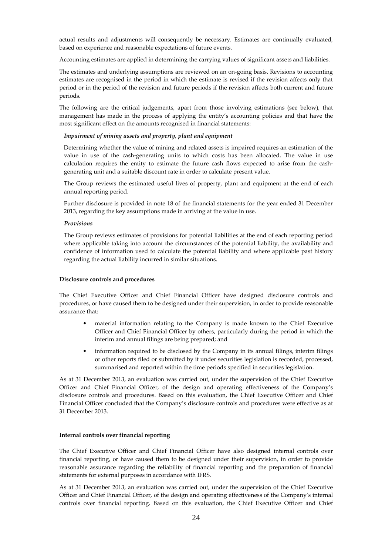actual results and adjustments will consequently be necessary. Estimates are continually evaluated, based on experience and reasonable expectations of future events.

Accounting estimates are applied in determining the carrying values of significant assets and liabilities.

The estimates and underlying assumptions are reviewed on an on-going basis. Revisions to accounting estimates are recognised in the period in which the estimate is revised if the revision affects only that period or in the period of the revision and future periods if the revision affects both current and future periods.

The following are the critical judgements, apart from those involving estimations (see below), that management has made in the process of applying the entity's accounting policies and that have the most significant effect on the amounts recognised in financial statements:

#### *Impairment of mining assets and property, plant and equipment*

Determining whether the value of mining and related assets is impaired requires an estimation of the value in use of the cash-generating units to which costs has been allocated. The value in use calculation requires the entity to estimate the future cash flows expected to arise from the cashgenerating unit and a suitable discount rate in order to calculate present value.

The Group reviews the estimated useful lives of property, plant and equipment at the end of each annual reporting period.

Further disclosure is provided in note 18 of the financial statements for the year ended 31 December 2013, regarding the key assumptions made in arriving at the value in use.

#### *Provisions*

The Group reviews estimates of provisions for potential liabilities at the end of each reporting period where applicable taking into account the circumstances of the potential liability, the availability and confidence of information used to calculate the potential liability and where applicable past history regarding the actual liability incurred in similar situations.

#### **Disclosure controls and procedures**

The Chief Executive Officer and Chief Financial Officer have designed disclosure controls and procedures, or have caused them to be designed under their supervision, in order to provide reasonable assurance that:

- material information relating to the Company is made known to the Chief Executive Officer and Chief Financial Officer by others, particularly during the period in which the interim and annual filings are being prepared; and
- information required to be disclosed by the Company in its annual filings, interim filings or other reports filed or submitted by it under securities legislation is recorded, processed, summarised and reported within the time periods specified in securities legislation.

As at 31 December 2013, an evaluation was carried out, under the supervision of the Chief Executive Officer and Chief Financial Officer, of the design and operating effectiveness of the Company's disclosure controls and procedures. Based on this evaluation, the Chief Executive Officer and Chief Financial Officer concluded that the Company's disclosure controls and procedures were effective as at 31 December 2013.

#### **Internal controls over financial reporting**

The Chief Executive Officer and Chief Financial Officer have also designed internal controls over financial reporting, or have caused them to be designed under their supervision, in order to provide reasonable assurance regarding the reliability of financial reporting and the preparation of financial statements for external purposes in accordance with IFRS.

As at 31 December 2013, an evaluation was carried out, under the supervision of the Chief Executive Officer and Chief Financial Officer, of the design and operating effectiveness of the Company's internal controls over financial reporting. Based on this evaluation, the Chief Executive Officer and Chief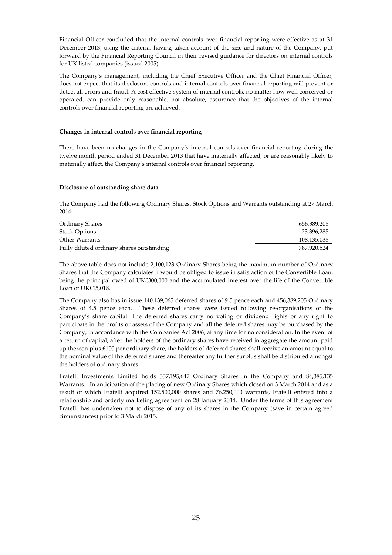Financial Officer concluded that the internal controls over financial reporting were effective as at 31 December 2013, using the criteria, having taken account of the size and nature of the Company, put forward by the Financial Reporting Council in their revised guidance for directors on internal controls for UK listed companies (issued 2005).

The Company's management, including the Chief Executive Officer and the Chief Financial Officer, does not expect that its disclosure controls and internal controls over financial reporting will prevent or detect all errors and fraud. A cost effective system of internal controls, no matter how well conceived or operated, can provide only reasonable, not absolute, assurance that the objectives of the internal controls over financial reporting are achieved.

## **Changes in internal controls over financial reporting**

There have been no changes in the Company's internal controls over financial reporting during the twelve month period ended 31 December 2013 that have materially affected, or are reasonably likely to materially affect, the Company's internal controls over financial reporting.

## **Disclosure of outstanding share data**

The Company had the following Ordinary Shares, Stock Options and Warrants outstanding at 27 March 2014:

| Ordinary Shares                           | 656,389,205 |
|-------------------------------------------|-------------|
| <b>Stock Options</b>                      | 23,396,285  |
| Other Warrants                            | 108,135,035 |
| Fully diluted ordinary shares outstanding | 787.920.524 |

The above table does not include 2,100,123 Ordinary Shares being the maximum number of Ordinary Shares that the Company calculates it would be obliged to issue in satisfaction of the Convertible Loan, being the principal owed of UK£300,000 and the accumulated interest over the life of the Convertible Loan of UK£15,018.

The Company also has in issue 140,139,065 deferred shares of 9.5 pence each and 456,389,205 Ordinary Shares of 4.5 pence each. These deferred shares were issued following re-organisations of the Company's share capital. The deferred shares carry no voting or dividend rights or any right to participate in the profits or assets of the Company and all the deferred shares may be purchased by the Company, in accordance with the Companies Act 2006, at any time for no consideration. In the event of a return of capital, after the holders of the ordinary shares have received in aggregate the amount paid up thereon plus £100 per ordinary share, the holders of deferred shares shall receive an amount equal to the nominal value of the deferred shares and thereafter any further surplus shall be distributed amongst the holders of ordinary shares.

Fratelli Investments Limited holds 337,195,647 Ordinary Shares in the Company and 84,385,135 Warrants. In anticipation of the placing of new Ordinary Shares which closed on 3 March 2014 and as a result of which Fratelli acquired 152,500,000 shares and 76,250,000 warrants, Fratelli entered into a relationship and orderly marketing agreement on 28 January 2014. Under the terms of this agreement Fratelli has undertaken not to dispose of any of its shares in the Company (save in certain agreed circumstances) prior to 3 March 2015.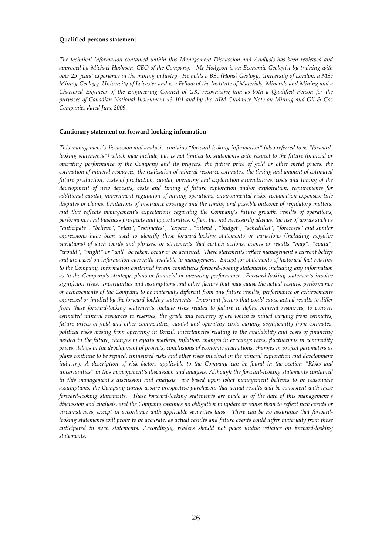#### **Qualified persons statement**

*The technical information contained within this Management Discussion and Analysis has been reviewed and approved by Michael Hodgson, CEO of the Company. Mr Hodgson is an Economic Geologist by training with over 25 years' experience in the mining industry. He holds a BSc (Hons) Geology, University of London, a MSc Mining Geology, University of Leicester and is a Fellow of the Institute of Materials, Minerals and Mining and a Chartered Engineer of the Engineering Council of UK, recognising him as both a Qualified Person for the purposes of Canadian National Instrument 43-101 and by the AIM Guidance Note on Mining and Oil & Gas Companies dated June 2009.* 

#### **Cautionary statement on forward-looking information**

*This management's discussion and analysis contains "forward-looking information" (also referred to as "forwardlooking statements") which may include, but is not limited to, statements with respect to the future financial or operating performance of the Company and its projects, the future price of gold or other metal prices, the estimation of mineral resources, the realisation of mineral resource estimates, the timing and amount of estimated future production, costs of production, capital, operating and exploration expenditures, costs and timing of the development of new deposits, costs and timing of future exploration and/or exploitation, requirements for additional capital, government regulation of mining operations, environmental risks, reclamation expenses, title disputes or claims, limitations of insurance coverage and the timing and possible outcome of regulatory matters, and that reflects management's expectations regarding the Company's future growth, results of operations, performance and business prospects and opportunities. Often, but not necessarily always, the use of words such as "anticipate", "believe", "plan", "estimates", "expect", "intend", "budget", "scheduled", "forecasts" and similar expressions have been used to identify these forward-looking statements or variations (including negative variations) of such words and phrases, or statements that certain actions, events or results "may", "could", "would", "might" or "will" be taken, occur or be achieved. These statements reflect management's current beliefs and are based on information currently available to management. Except for statements of historical fact relating to the Company, information contained herein constitutes forward-looking statements, including any information as to the Company's strategy, plans or financial or operating performance. Forward-looking statements involve significant risks, uncertainties and assumptions and other factors that may cause the actual results, performance or achievements of the Company to be materially different from any future results, performance or achievements expressed or implied by the forward-looking statements. Important factors that could cause actual results to differ from these forward-looking statements include risks related to failure to define mineral resources, to convert estimated mineral resources to reserves, the grade and recovery of ore which is mined varying from estimates, future prices of gold and other commodities, capital and operating costs varying significantly from estimates, political risks arising from operating in Brazil, uncertainties relating to the availability and costs of financing needed in the future, changes in equity markets, inflation, changes in exchange rates, fluctuations in commodity prices, delays in the development of projects, conclusions of economic evaluations, changes in project parameters as plans continue to be refined, uninsured risks and other risks involved in the mineral exploration and development industry. A description of risk factors applicable to the Company can be found in the section "Risks and uncertainties" in this management's discussion and analysis. Although the forward-looking statements contained in this management's discussion and analysis are based upon what management believes to be reasonable assumptions, the Company cannot assure prospective purchasers that actual results will be consistent with these forward-looking statements. These forward-looking statements are made as of the date of this management's discussion and analysis, and the Company assumes no obligation to update or revise them to reflect new events or circumstances, except in accordance with applicable securities laws. There can be no assurance that forwardlooking statements will prove to be accurate, as actual results and future events could differ materially from those anticipated in such statements. Accordingly, readers should not place undue reliance on forward-looking statements.*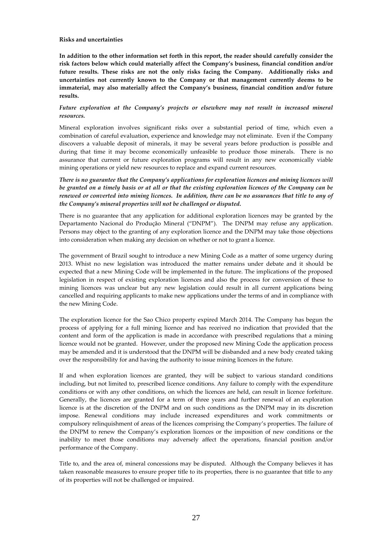## **Risks and uncertainties**

**In addition to the other information set forth in this report, the reader should carefully consider the risk factors below which could materially affect the Company's business, financial condition and/or future results. These risks are not the only risks facing the Company. Additionally risks and uncertainties not currently known to the Company or that management currently deems to be immaterial, may also materially affect the Company's business, financial condition and/or future results.** 

# *Future exploration at the Company's projects or elsewhere may not result in increased mineral resources.*

Mineral exploration involves significant risks over a substantial period of time, which even a combination of careful evaluation, experience and knowledge may not eliminate. Even if the Company discovers a valuable deposit of minerals, it may be several years before production is possible and during that time it may become economically unfeasible to produce those minerals. There is no assurance that current or future exploration programs will result in any new economically viable mining operations or yield new resources to replace and expand current resources.

*There is no guarantee that the Company's applications for exploration licences and mining licences will be granted on a timely basis or at all or that the existing exploration licences of the Company can be renewed or converted into mining licences. In addition, there can be no assurances that title to any of the Company's mineral properties will not be challenged or disputed.* 

There is no guarantee that any application for additional exploration licences may be granted by the Departamento Nacional do Produçăo Mineral ("DNPM"). The DNPM may refuse any application. Persons may object to the granting of any exploration licence and the DNPM may take those objections into consideration when making any decision on whether or not to grant a licence.

The government of Brazil sought to introduce a new Mining Code as a matter of some urgency during 2013. Whist no new legislation was introduced the matter remains under debate and it should be expected that a new Mining Code will be implemented in the future. The implications of the proposed legislation in respect of existing exploration licences and also the process for conversion of these to mining licences was unclear but any new legislation could result in all current applications being cancelled and requiring applicants to make new applications under the terms of and in compliance with the new Mining Code.

The exploration licence for the Sao Chico property expired March 2014. The Company has begun the process of applying for a full mining licence and has received no indication that provided that the content and form of the application is made in accordance with prescribed regulations that a mining licence would not be granted. However, under the proposed new Mining Code the application process may be amended and it is understood that the DNPM will be disbanded and a new body created taking over the responsibility for and having the authority to issue mining licences in the future.

If and when exploration licences are granted, they will be subject to various standard conditions including, but not limited to, prescribed licence conditions. Any failure to comply with the expenditure conditions or with any other conditions, on which the licences are held, can result in licence forfeiture. Generally, the licences are granted for a term of three years and further renewal of an exploration licence is at the discretion of the DNPM and on such conditions as the DNPM may in its discretion impose. Renewal conditions may include increased expenditures and work commitments or compulsory relinquishment of areas of the licences comprising the Company's properties. The failure of the DNPM to renew the Company's exploration licences or the imposition of new conditions or the inability to meet those conditions may adversely affect the operations, financial position and/or performance of the Company.

Title to, and the area of, mineral concessions may be disputed. Although the Company believes it has taken reasonable measures to ensure proper title to its properties, there is no guarantee that title to any of its properties will not be challenged or impaired.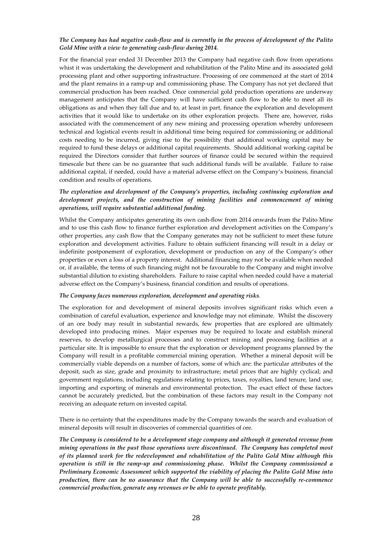# *The Company has had negative cash-flow and is currently in the process of development of the Palito Gold Mine with a view to generating cash-flow during 2014.*

For the financial year ended 31 December 2013 the Company had negative cash flow from operations whist it was undertaking the development and rehabilitation of the Palito Mine and its associated gold processing plant and other supporting infrastructure. Processing of ore commenced at the start of 2014 and the plant remains in a ramp-up and commissioning phase. The Company has not yet declared that commercial production has been reached. Once commercial gold production operations are underway management anticipates that the Company will have sufficient cash flow to be able to meet all its obligations as and when they fall due and to, at least in part, finance the exploration and development activities that it would like to undertake on its other exploration projects. There are, however, risks associated with the commencement of any new mining and processing operation whereby unforeseen technical and logistical events result in additional time being required for commissioning or additional costs needing to be incurred, giving rise to the possibility that additional working capital may be required to fund these delays or additional capital requirements. Should additional working capital be required the Directors consider that further sources of finance could be secured within the required timescale but there can be no guarantee that such additional funds will be available. Failure to raise additional capital, if needed, could have a material adverse effect on the Company's business, financial condition and results of operations.

# *The exploration and development of the Company's properties, including continuing exploration and development projects, and the construction of mining facilities and commencement of mining operations, will require substantial additional funding.*

Whilst the Company anticipates generating its own cash-flow from 2014 onwards from the Palito Mine and to use this cash flow to finance further exploration and development activities on the Company's other properties, any cash flow that the Company generates may not be sufficient to meet these future exploration and development activities. Failure to obtain sufficient financing will result in a delay or indefinite postponement of exploration, development or production on any of the Company's other properties or even a loss of a property interest. Additional financing may not be available when needed or, if available, the terms of such financing might not be favourable to the Company and might involve substantial dilution to existing shareholders. Failure to raise capital when needed could have a material adverse effect on the Company's business, financial condition and results of operations.

## *The Company faces numerous exploration, development and operating risks.*

The exploration for and development of mineral deposits involves significant risks which even a combination of careful evaluation, experience and knowledge may not eliminate. Whilst the discovery of an ore body may result in substantial rewards, few properties that are explored are ultimately developed into producing mines. Major expenses may be required to locate and establish mineral reserves, to develop metallurgical processes and to construct mining and processing facilities at a particular site. It is impossible to ensure that the exploration or development programs planned by the Company will result in a profitable commercial mining operation. Whether a mineral deposit will be commercially viable depends on a number of factors, some of which are: the particular attributes of the deposit, such as size, grade and proximity to infrastructure; metal prices that are highly cyclical; and government regulations, including regulations relating to prices, taxes, royalties, land tenure, land use, importing and exporting of minerals and environmental protection. The exact effect of these factors cannot be accurately predicted, but the combination of these factors may result in the Company not receiving an adequate return on invested capital.

There is no certainty that the expenditures made by the Company towards the search and evaluation of mineral deposits will result in discoveries of commercial quantities of ore.

*The Company is considered to be a development stage company and although it generated revenue from mining operations in the past those operations were discontinued. The Company has completed most of its planned work for the redevelopment and rehabilitation of the Palito Gold Mine although this operation is still in the ramp-up and commissioning phase. Whilst the Company commissioned a Preliminary Economic Assessment which supported the viability of placing the Palito Gold Mine into production, there can be no assurance that the Company will be able to successfully re-commence commercial production, generate any revenues or be able to operate profitably.*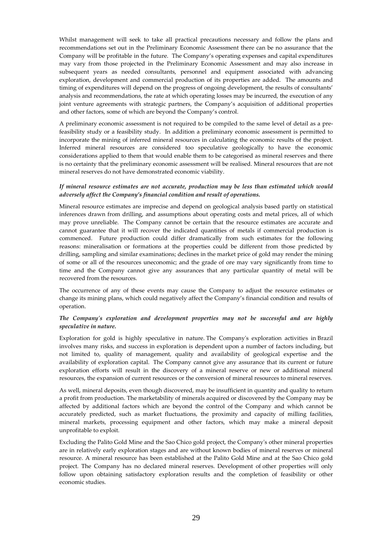Whilst management will seek to take all practical precautions necessary and follow the plans and recommendations set out in the Preliminary Economic Assessment there can be no assurance that the Company will be profitable in the future. The Company's operating expenses and capital expenditures may vary from those projected in the Preliminary Economic Assessment and may also increase in subsequent years as needed consultants, personnel and equipment associated with advancing exploration, development and commercial production of its properties are added. The amounts and timing of expenditures will depend on the progress of ongoing development, the results of consultants' analysis and recommendations, the rate at which operating losses may be incurred, the execution of any joint venture agreements with strategic partners, the Company's acquisition of additional properties and other factors, some of which are beyond the Company's control.

A preliminary economic assessment is not required to be compiled to the same level of detail as a prefeasibility study or a feasibility study. In addition a preliminary economic assessment is permitted to incorporate the mining of inferred mineral resources in calculating the economic results of the project. Inferred mineral resources are considered too speculative geologically to have the economic considerations applied to them that would enable them to be categorised as mineral reserves and there is no certainty that the preliminary economic assessment will be realised. Mineral resources that are not mineral reserves do not have demonstrated economic viability.

# *If mineral resource estimates are not accurate, production may be less than estimated which would adversely affect the Company's financial condition and result of operations.*

Mineral resource estimates are imprecise and depend on geological analysis based partly on statistical inferences drawn from drilling, and assumptions about operating costs and metal prices, all of which may prove unreliable. The Company cannot be certain that the resource estimates are accurate and cannot guarantee that it will recover the indicated quantities of metals if commercial production is commenced. Future production could differ dramatically from such estimates for the following reasons: mineralisation or formations at the properties could be different from those predicted by drilling, sampling and similar examinations; declines in the market price of gold may render the mining of some or all of the resources uneconomic; and the grade of ore may vary significantly from time to time and the Company cannot give any assurances that any particular quantity of metal will be recovered from the resources.

The occurrence of any of these events may cause the Company to adjust the resource estimates or change its mining plans, which could negatively affect the Company's financial condition and results of operation.

# *The Company's exploration and development properties may not be successful and are highly speculative in nature.*

Exploration for gold is highly speculative in nature. The Company's exploration activities in Brazil involves many risks, and success in exploration is dependent upon a number of factors including, but not limited to, quality of management, quality and availability of geological expertise and the availability of exploration capital. The Company cannot give any assurance that its current or future exploration efforts will result in the discovery of a mineral reserve or new or additional mineral resources, the expansion of current resources or the conversion of mineral resources to mineral reserves.

As well, mineral deposits, even though discovered, may be insufficient in quantity and quality to return a profit from production. The marketability of minerals acquired or discovered by the Company may be affected by additional factors which are beyond the control of the Company and which cannot be accurately predicted, such as market fluctuations, the proximity and capacity of milling facilities, mineral markets, processing equipment and other factors, which may make a mineral deposit unprofitable to exploit.

Excluding the Palito Gold Mine and the Sao Chico gold project, the Company's other mineral properties are in relatively early exploration stages and are without known bodies of mineral reserves or mineral resource. A mineral resource has been established at the Palito Gold Mine and at the Sao Chico gold project. The Company has no declared mineral reserves. Development of other properties will only follow upon obtaining satisfactory exploration results and the completion of feasibility or other economic studies.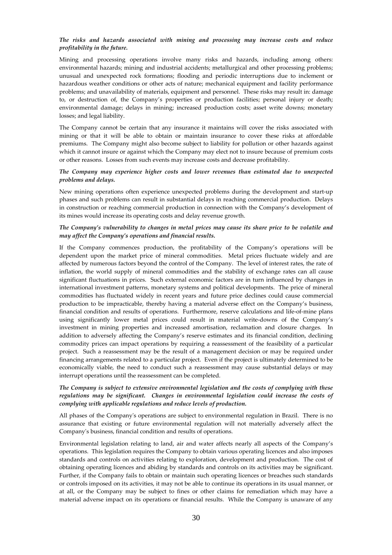# *The risks and hazards associated with mining and processing may increase costs and reduce profitability in the future.*

Mining and processing operations involve many risks and hazards, including among others: environmental hazards; mining and industrial accidents; metallurgical and other processing problems; unusual and unexpected rock formations; flooding and periodic interruptions due to inclement or hazardous weather conditions or other acts of nature; mechanical equipment and facility performance problems; and unavailability of materials, equipment and personnel. These risks may result in: damage to, or destruction of, the Company's properties or production facilities; personal injury or death; environmental damage; delays in mining; increased production costs; asset write downs; monetary losses; and legal liability.

The Company cannot be certain that any insurance it maintains will cover the risks associated with mining or that it will be able to obtain or maintain insurance to cover these risks at affordable premiums. The Company might also become subject to liability for pollution or other hazards against which it cannot insure or against which the Company may elect not to insure because of premium costs or other reasons. Losses from such events may increase costs and decrease profitability.

# *The Company may experience higher costs and lower revenues than estimated due to unexpected problems and delays.*

New mining operations often experience unexpected problems during the development and start-up phases and such problems can result in substantial delays in reaching commercial production. Delays in construction or reaching commercial production in connection with the Company's development of its mines would increase its operating costs and delay revenue growth.

# *The Company's vulnerability to changes in metal prices may cause its share price to be volatile and may affect the Company's operations and financial results.*

If the Company commences production, the profitability of the Company's operations will be dependent upon the market price of mineral commodities. Metal prices fluctuate widely and are affected by numerous factors beyond the control of the Company. The level of interest rates, the rate of inflation, the world supply of mineral commodities and the stability of exchange rates can all cause significant fluctuations in prices. Such external economic factors are in turn influenced by changes in international investment patterns, monetary systems and political developments. The price of mineral commodities has fluctuated widely in recent years and future price declines could cause commercial production to be impracticable, thereby having a material adverse effect on the Company's business, financial condition and results of operations. Furthermore, reserve calculations and life-of-mine plans using significantly lower metal prices could result in material write-downs of the Company's investment in mining properties and increased amortisation, reclamation and closure charges. In addition to adversely affecting the Company's reserve estimates and its financial condition, declining commodity prices can impact operations by requiring a reassessment of the feasibility of a particular project. Such a reassessment may be the result of a management decision or may be required under financing arrangements related to a particular project. Even if the project is ultimately determined to be economically viable, the need to conduct such a reassessment may cause substantial delays or may interrupt operations until the reassessment can be completed.

# *The Company is subject to extensive environmental legislation and the costs of complying with these regulations may be significant. Changes in environmental legislation could increase the costs of complying with applicable regulations and reduce levels of production.*

All phases of the Company's operations are subject to environmental regulation in Brazil. There is no assurance that existing or future environmental regulation will not materially adversely affect the Company's business, financial condition and results of operations.

Environmental legislation relating to land, air and water affects nearly all aspects of the Company's operations. This legislation requires the Company to obtain various operating licences and also imposes standards and controls on activities relating to exploration, development and production. The cost of obtaining operating licences and abiding by standards and controls on its activities may be significant. Further, if the Company fails to obtain or maintain such operating licences or breaches such standards or controls imposed on its activities, it may not be able to continue its operations in its usual manner, or at all, or the Company may be subject to fines or other claims for remediation which may have a material adverse impact on its operations or financial results. While the Company is unaware of any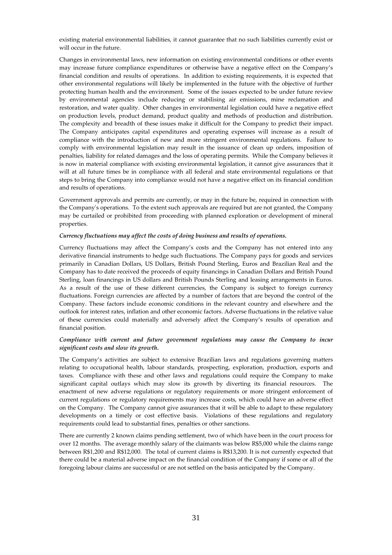existing material environmental liabilities, it cannot guarantee that no such liabilities currently exist or will occur in the future.

Changes in environmental laws, new information on existing environmental conditions or other events may increase future compliance expenditures or otherwise have a negative effect on the Company's financial condition and results of operations. In addition to existing requirements, it is expected that other environmental regulations will likely be implemented in the future with the objective of further protecting human health and the environment. Some of the issues expected to be under future review by environmental agencies include reducing or stabilising air emissions, mine reclamation and restoration, and water quality. Other changes in environmental legislation could have a negative effect on production levels, product demand, product quality and methods of production and distribution. The complexity and breadth of these issues make it difficult for the Company to predict their impact. The Company anticipates capital expenditures and operating expenses will increase as a result of compliance with the introduction of new and more stringent environmental regulations. Failure to comply with environmental legislation may result in the issuance of clean up orders, imposition of penalties, liability for related damages and the loss of operating permits. While the Company believes it is now in material compliance with existing environmental legislation, it cannot give assurances that it will at all future times be in compliance with all federal and state environmental regulations or that steps to bring the Company into compliance would not have a negative effect on its financial condition and results of operations.

Government approvals and permits are currently, or may in the future be, required in connection with the Company's operations. To the extent such approvals are required but are not granted, the Company may be curtailed or prohibited from proceeding with planned exploration or development of mineral properties.

## *Currency fluctuations may affect the costs of doing business and results of operations.*

Currency fluctuations may affect the Company's costs and the Company has not entered into any derivative financial instruments to hedge such fluctuations. The Company pays for goods and services primarily in Canadian Dollars, US Dollars, British Pound Sterling, Euros and Brazilian Real and the Company has to date received the proceeds of equity financings in Canadian Dollars and British Pound Sterling, loan financings in US dollars and British Pounds Sterling and leasing arrangements in Euros. As a result of the use of these different currencies, the Company is subject to foreign currency fluctuations. Foreign currencies are affected by a number of factors that are beyond the control of the Company. These factors include economic conditions in the relevant country and elsewhere and the outlook for interest rates, inflation and other economic factors. Adverse fluctuations in the relative value of these currencies could materially and adversely affect the Company's results of operation and financial position.

## *Compliance with current and future government regulations may cause the Company to incur significant costs and slow its growth.*

The Company's activities are subject to extensive Brazilian laws and regulations governing matters relating to occupational health, labour standards, prospecting, exploration, production, exports and taxes. Compliance with these and other laws and regulations could require the Company to make significant capital outlays which may slow its growth by diverting its financial resources. The enactment of new adverse regulations or regulatory requirements or more stringent enforcement of current regulations or regulatory requirements may increase costs, which could have an adverse effect on the Company. The Company cannot give assurances that it will be able to adapt to these regulatory developments on a timely or cost effective basis. Violations of these regulations and regulatory requirements could lead to substantial fines, penalties or other sanctions.

There are currently 2 known claims pending settlement, two of which have been in the court process for over 12 months. The average monthly salary of the claimants was below R\$5,000 while the claims range between R\$1,200 and R\$12,000. The total of current claims is R\$13,200. It is not currently expected that there could be a material adverse impact on the financial condition of the Company if some or all of the foregoing labour claims are successful or are not settled on the basis anticipated by the Company.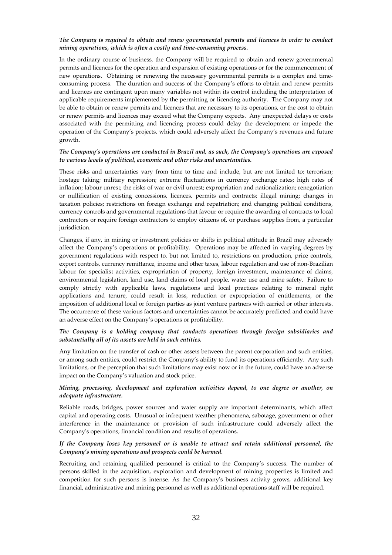# *The Company is required to obtain and renew governmental permits and licences in order to conduct mining operations, which is often a costly and time-consuming process.*

In the ordinary course of business, the Company will be required to obtain and renew governmental permits and licences for the operation and expansion of existing operations or for the commencement of new operations. Obtaining or renewing the necessary governmental permits is a complex and timeconsuming process. The duration and success of the Company's efforts to obtain and renew permits and licences are contingent upon many variables not within its control including the interpretation of applicable requirements implemented by the permitting or licencing authority. The Company may not be able to obtain or renew permits and licences that are necessary to its operations, or the cost to obtain or renew permits and licences may exceed what the Company expects. Any unexpected delays or costs associated with the permitting and licencing process could delay the development or impede the operation of the Company's projects, which could adversely affect the Company's revenues and future growth.

## *The Company's operations are conducted in Brazil and, as such, the Company's operations are exposed to various levels of political, economic and other risks and uncertainties.*

These risks and uncertainties vary from time to time and include, but are not limited to: terrorism; hostage taking; military repression; extreme fluctuations in currency exchange rates; high rates of inflation; labour unrest; the risks of war or civil unrest; expropriation and nationalization; renegotiation or nullification of existing concessions, licences, permits and contracts; illegal mining; changes in taxation policies; restrictions on foreign exchange and repatriation; and changing political conditions, currency controls and governmental regulations that favour or require the awarding of contracts to local contractors or require foreign contractors to employ citizens of, or purchase supplies from, a particular jurisdiction.

Changes, if any, in mining or investment policies or shifts in political attitude in Brazil may adversely affect the Company's operations or profitability. Operations may be affected in varying degrees by government regulations with respect to, but not limited to, restrictions on production, price controls, export controls, currency remittance, income and other taxes, labour regulation and use of non-Brazilian labour for specialist activities, expropriation of property, foreign investment, maintenance of claims, environmental legislation, land use, land claims of local people, water use and mine safety. Failure to comply strictly with applicable laws, regulations and local practices relating to mineral right applications and tenure, could result in loss, reduction or expropriation of entitlements, or the imposition of additional local or foreign parties as joint venture partners with carried or other interests. The occurrence of these various factors and uncertainties cannot be accurately predicted and could have an adverse effect on the Company's operations or profitability.

# *The Company is a holding company that conducts operations through foreign subsidiaries and substantially all of its assets are held in such entities.*

Any limitation on the transfer of cash or other assets between the parent corporation and such entities, or among such entities, could restrict the Company's ability to fund its operations efficiently. Any such limitations, or the perception that such limitations may exist now or in the future, could have an adverse impact on the Company's valuation and stock price.

## *Mining, processing, development and exploration activities depend, to one degree or another, on adequate infrastructure.*

Reliable roads, bridges, power sources and water supply are important determinants, which affect capital and operating costs. Unusual or infrequent weather phenomena, sabotage, government or other interference in the maintenance or provision of such infrastructure could adversely affect the Company's operations, financial condition and results of operations.

# *If the Company loses key personnel or is unable to attract and retain additional personnel, the Company's mining operations and prospects could be harmed.*

Recruiting and retaining qualified personnel is critical to the Company's success. The number of persons skilled in the acquisition, exploration and development of mining properties is limited and competition for such persons is intense. As the Company's business activity grows, additional key financial, administrative and mining personnel as well as additional operations staff will be required.